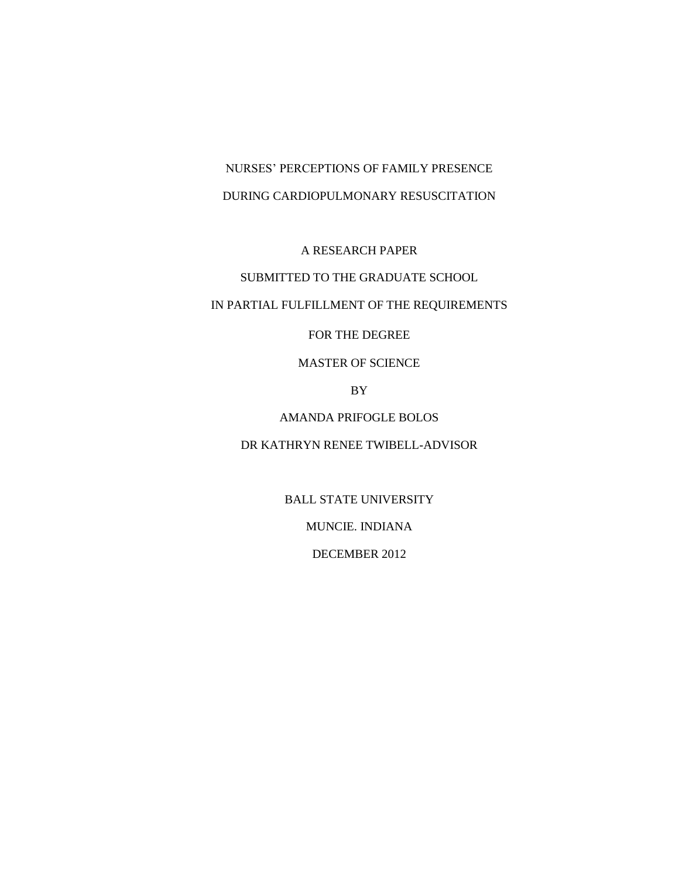# NURSES' PERCEPTIONS OF FAMILY PRESENCE DURING CARDIOPULMONARY RESUSCITATION

# A RESEARCH PAPER

# SUBMITTED TO THE GRADUATE SCHOOL

# IN PARTIAL FULFILLMENT OF THE REQUIREMENTS

## FOR THE DEGREE

# MASTER OF SCIENCE

# BY

# AMANDA PRIFOGLE BOLOS

# DR KATHRYN RENEE TWIBELL-ADVISOR

BALL STATE UNIVERSITY

MUNCIE. INDIANA

DECEMBER 2012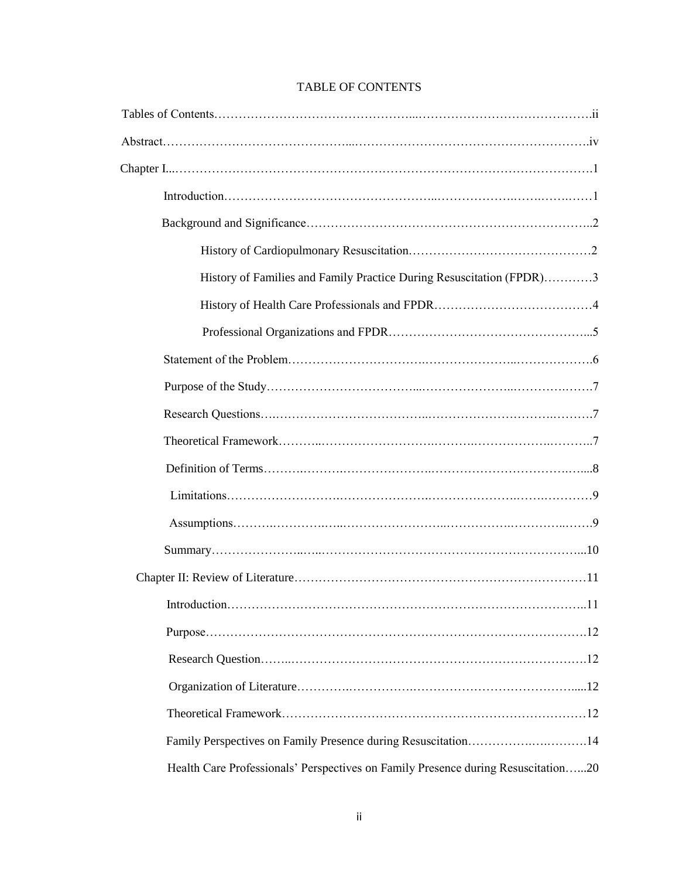| <b>TABLE OF CONTENTS</b> |  |
|--------------------------|--|
|--------------------------|--|

| History of Families and Family Practice During Resuscitation (FPDR)3              |
|-----------------------------------------------------------------------------------|
|                                                                                   |
|                                                                                   |
|                                                                                   |
|                                                                                   |
|                                                                                   |
|                                                                                   |
|                                                                                   |
|                                                                                   |
|                                                                                   |
|                                                                                   |
|                                                                                   |
| Introduction<br>.11                                                               |
|                                                                                   |
|                                                                                   |
|                                                                                   |
|                                                                                   |
|                                                                                   |
| Health Care Professionals' Perspectives on Family Presence during Resuscitation20 |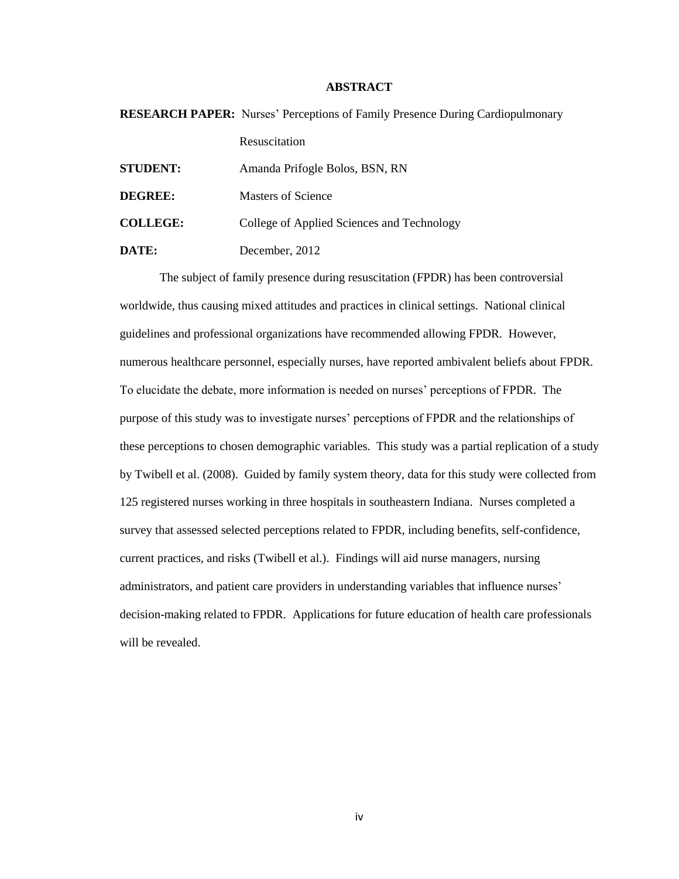## **ABSTRACT**

|                 | <b>RESEARCH PAPER:</b> Nurses' Perceptions of Family Presence During Cardiopulmonary |
|-----------------|--------------------------------------------------------------------------------------|
|                 | Resuscitation                                                                        |
| <b>STUDENT:</b> | Amanda Prifogle Bolos, BSN, RN                                                       |
| DEGREE:         | Masters of Science                                                                   |
| <b>COLLEGE:</b> | College of Applied Sciences and Technology                                           |
| DATE:           | December, 2012                                                                       |

The subject of family presence during resuscitation (FPDR) has been controversial worldwide, thus causing mixed attitudes and practices in clinical settings. National clinical guidelines and professional organizations have recommended allowing FPDR. However, numerous healthcare personnel, especially nurses, have reported ambivalent beliefs about FPDR. To elucidate the debate, more information is needed on nurses' perceptions of FPDR. The purpose of this study was to investigate nurses' perceptions of FPDR and the relationships of these perceptions to chosen demographic variables. This study was a partial replication of a study by Twibell et al. (2008). Guided by family system theory, data for this study were collected from 125 registered nurses working in three hospitals in southeastern Indiana. Nurses completed a survey that assessed selected perceptions related to FPDR, including benefits, self-confidence, current practices, and risks (Twibell et al.). Findings will aid nurse managers, nursing administrators, and patient care providers in understanding variables that influence nurses' decision-making related to FPDR. Applications for future education of health care professionals will be revealed.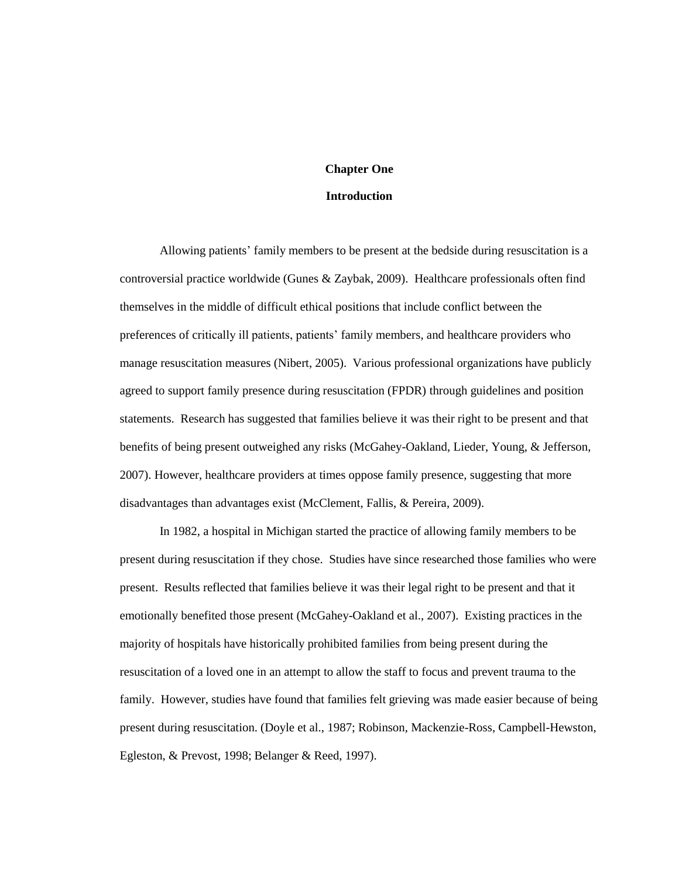## **Chapter One**

#### **Introduction**

Allowing patients' family members to be present at the bedside during resuscitation is a controversial practice worldwide (Gunes & Zaybak, 2009). Healthcare professionals often find themselves in the middle of difficult ethical positions that include conflict between the preferences of critically ill patients, patients' family members, and healthcare providers who manage resuscitation measures (Nibert, 2005). Various professional organizations have publicly agreed to support family presence during resuscitation (FPDR) through guidelines and position statements. Research has suggested that families believe it was their right to be present and that benefits of being present outweighed any risks (McGahey-Oakland, Lieder, Young, & Jefferson, 2007). However, healthcare providers at times oppose family presence, suggesting that more disadvantages than advantages exist (McClement, Fallis, & Pereira, 2009).

In 1982, a hospital in Michigan started the practice of allowing family members to be present during resuscitation if they chose. Studies have since researched those families who were present. Results reflected that families believe it was their legal right to be present and that it emotionally benefited those present (McGahey-Oakland et al., 2007). Existing practices in the majority of hospitals have historically prohibited families from being present during the resuscitation of a loved one in an attempt to allow the staff to focus and prevent trauma to the family. However, studies have found that families felt grieving was made easier because of being present during resuscitation. (Doyle et al., 1987; Robinson, Mackenzie-Ross, Campbell-Hewston, Egleston, & Prevost, 1998; Belanger & Reed, 1997).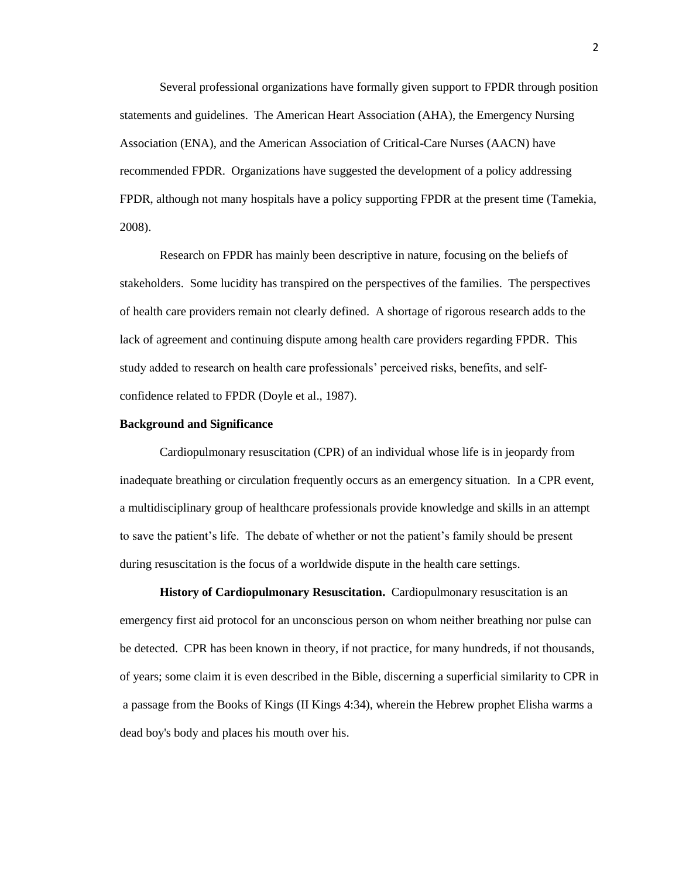Several professional organizations have formally given support to FPDR through position statements and guidelines. The American Heart Association (AHA), the Emergency Nursing Association (ENA), and the American Association of Critical-Care Nurses (AACN) have recommended FPDR. Organizations have suggested the development of a policy addressing FPDR, although not many hospitals have a policy supporting FPDR at the present time (Tamekia, 2008).

Research on FPDR has mainly been descriptive in nature, focusing on the beliefs of stakeholders. Some lucidity has transpired on the perspectives of the families. The perspectives of health care providers remain not clearly defined. A shortage of rigorous research adds to the lack of agreement and continuing dispute among health care providers regarding FPDR. This study added to research on health care professionals' perceived risks, benefits, and selfconfidence related to FPDR (Doyle et al., 1987).

#### **Background and Significance**

Cardiopulmonary resuscitation (CPR) of an individual whose life is in jeopardy from inadequate breathing or circulation frequently occurs as an emergency situation. In a CPR event, a multidisciplinary group of healthcare professionals provide knowledge and skills in an attempt to save the patient's life. The debate of whether or not the patient's family should be present during resuscitation is the focus of a worldwide dispute in the health care settings.

**History of Cardiopulmonary Resuscitation.** Cardiopulmonary resuscitation is an emergency [first aid](http://encycl.opentopia.com/term/First_aid) protocol for an [unconscious](http://encycl.opentopia.com/term/Unconsciousness) person on whom neither [breathing](http://encycl.opentopia.com/term/Breathing) nor [pulse](http://encycl.opentopia.com/term/Pulse) can be detected. CPR has been known in theory, if not practice, for many hundreds, if not thousands, of years; some claim it is even described in the [Bible,](http://encycl.opentopia.com/term/Bible) discerning a superficial similarity to CPR in a passage from the [Books of Kings](http://encycl.opentopia.com/term/Books_of_Kings) (II Kings 4:34), wherein the Hebrew prophet [Elisha](http://encycl.opentopia.com/term/Elisha) warms a dead boy's body and places his mouth over his.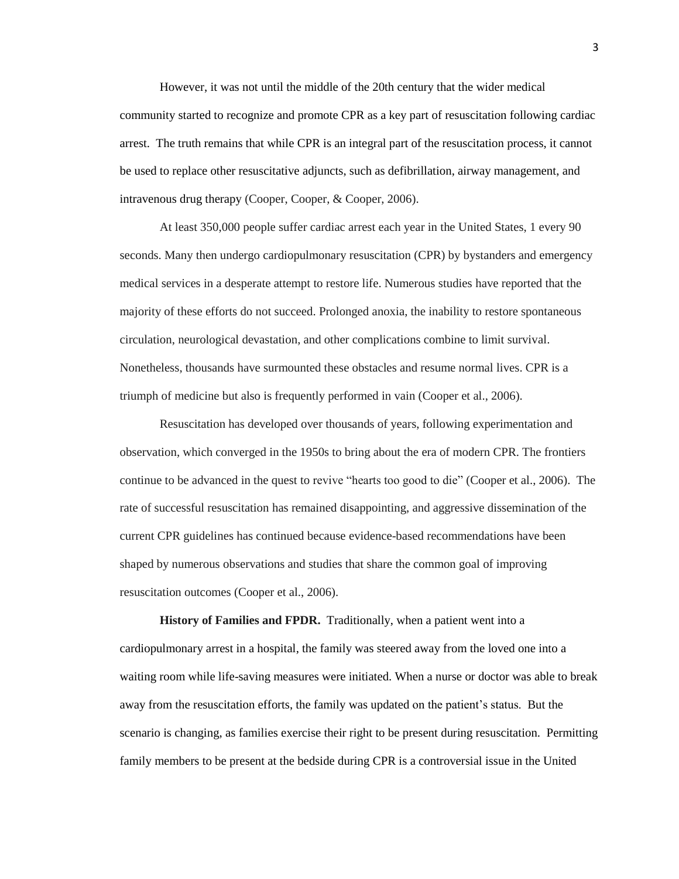However, it was not until the middle of the 20th century that the wider medical community started to recognize and promote CPR as a key part of [resuscitation](http://encycl.opentopia.com/term/Resuscitation) following [cardiac](http://encycl.opentopia.com/term/Cardiac_arrest)  [arrest.](http://encycl.opentopia.com/term/Cardiac_arrest) The truth remains that while CPR is an integral part of the resuscitation process, it cannot be used to replace other resuscitative adjuncts, such as [defibrillation,](http://encycl.opentopia.com/term/Defibrillation) airway management, and [intravenous](http://encycl.opentopia.com/term/Intravenous) drug therapy (Cooper, Cooper, & Cooper, 2006).

At least 350,000 people suffer cardiac arrest each year in the United States, 1 every 90 seconds. Many then undergo cardiopulmonary resuscitation (CPR) by bystanders and emergency medical services in a desperate attempt to restore life. Numerous studies have reported that the majority of these efforts do not succeed. Prolonged anoxia, the inability to restore spontaneous circulation, neurological devastation, and other complications combine to limit survival. Nonetheless, thousands have surmounted these obstacles and resume normal lives. CPR is a triumph of medicine but also is frequently performed in vain (Cooper et al., 2006).

Resuscitation has developed over thousands of years, following experimentation and observation, which converged in the 1950s to bring about the era of modern CPR. The frontiers continue to be advanced in the quest to revive "hearts too good to die" (Cooper et al., 2006). The rate of successful resuscitation has remained disappointing, and aggressive dissemination of the current CPR guidelines has continued because evidence-based recommendations have been shaped by numerous observations and studies that share the common goal of improving resuscitation outcomes (Cooper et al., 2006).

**History of Families and FPDR.** Traditionally, when a patient went into a cardiopulmonary arrest in a hospital, the family was steered away from the loved one into a waiting room while life-saving measures were initiated. When a nurse or doctor was able to break away from the resuscitation efforts, the family was updated on the patient's status. But the scenario is changing, as families exercise their right to be present during resuscitation. Permitting family members to be present at the bedside during CPR is a controversial issue in the United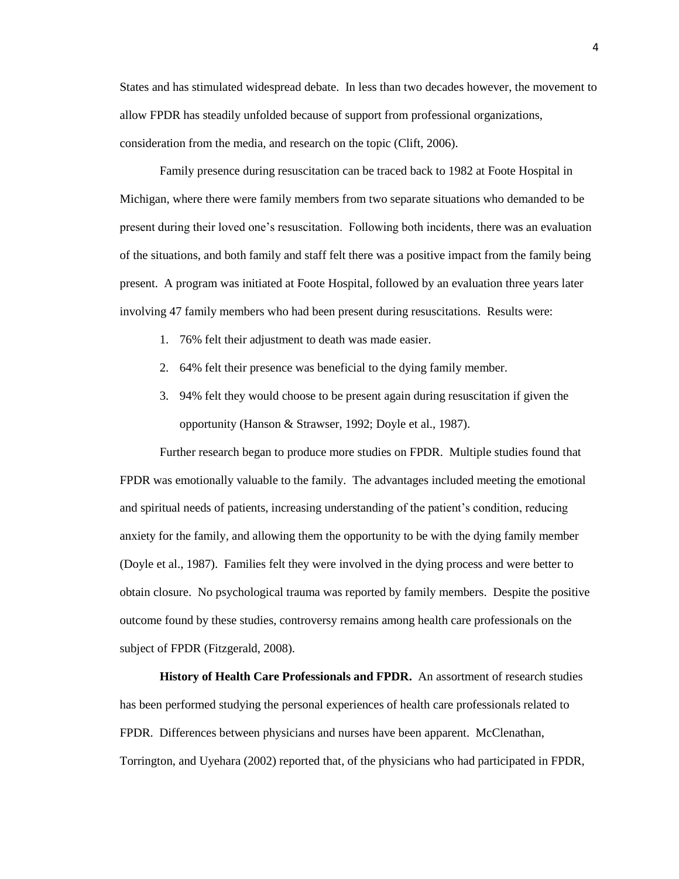States and has stimulated widespread debate. In less than two decades however, the movement to allow FPDR has steadily unfolded because of support from professional organizations, consideration from the media, and research on the topic (Clift, 2006).

Family presence during resuscitation can be traced back to 1982 at Foote Hospital in Michigan, where there were family members from two separate situations who demanded to be present during their loved one's resuscitation. Following both incidents, there was an evaluation of the situations, and both family and staff felt there was a positive impact from the family being present. A program was initiated at Foote Hospital, followed by an evaluation three years later involving 47 family members who had been present during resuscitations. Results were:

- 1. 76% felt their adjustment to death was made easier.
- 2. 64% felt their presence was beneficial to the dying family member.
- 3. 94% felt they would choose to be present again during resuscitation if given the opportunity (Hanson & Strawser, 1992; Doyle et al., 1987).

Further research began to produce more studies on FPDR. Multiple studies found that FPDR was emotionally valuable to the family. The advantages included meeting the emotional and spiritual needs of patients, increasing understanding of the patient's condition, reducing anxiety for the family, and allowing them the opportunity to be with the dying family member (Doyle et al., 1987). Families felt they were involved in the dying process and were better to obtain closure. No psychological trauma was reported by family members. Despite the positive outcome found by these studies, controversy remains among health care professionals on the subject of FPDR (Fitzgerald, 2008).

**History of Health Care Professionals and FPDR.** An assortment of research studies has been performed studying the personal experiences of health care professionals related to FPDR. Differences between physicians and nurses have been apparent. McClenathan, Torrington, and Uyehara (2002) reported that, of the physicians who had participated in FPDR,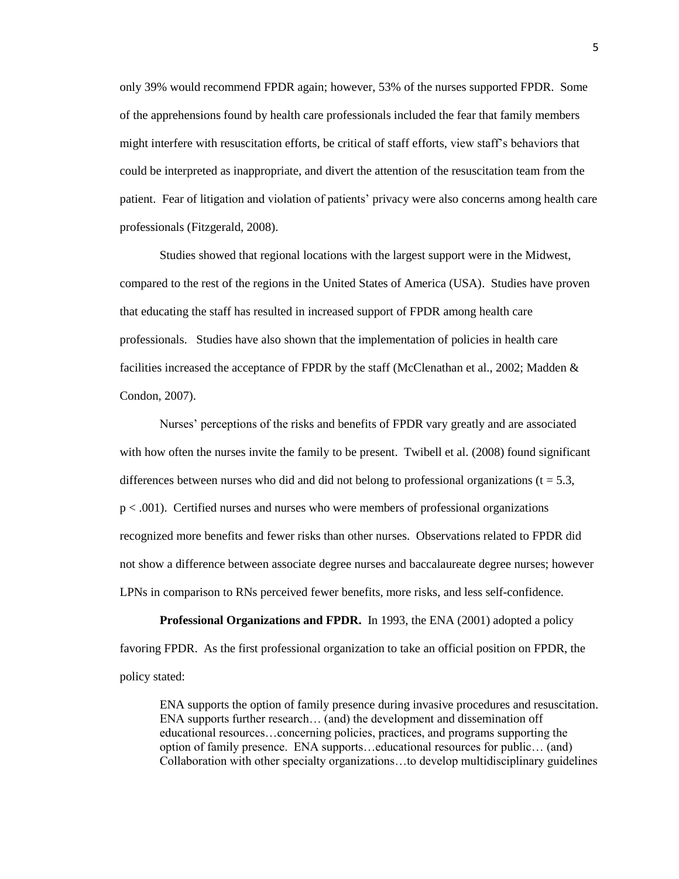only 39% would recommend FPDR again; however, 53% of the nurses supported FPDR. Some of the apprehensions found by health care professionals included the fear that family members might interfere with resuscitation efforts, be critical of staff efforts, view staff's behaviors that could be interpreted as inappropriate, and divert the attention of the resuscitation team from the patient. Fear of litigation and violation of patients' privacy were also concerns among health care professionals (Fitzgerald, 2008).

Studies showed that regional locations with the largest support were in the Midwest, compared to the rest of the regions in the United States of America (USA). Studies have proven that educating the staff has resulted in increased support of FPDR among health care professionals. Studies have also shown that the implementation of policies in health care facilities increased the acceptance of FPDR by the staff (McClenathan et al., 2002; Madden & Condon, 2007).

Nurses' perceptions of the risks and benefits of FPDR vary greatly and are associated with how often the nurses invite the family to be present. Twibell et al. (2008) found significant differences between nurses who did and did not belong to professional organizations ( $t = 5.3$ , p < .001). Certified nurses and nurses who were members of professional organizations recognized more benefits and fewer risks than other nurses. Observations related to FPDR did not show a difference between associate degree nurses and baccalaureate degree nurses; however LPNs in comparison to RNs perceived fewer benefits, more risks, and less self-confidence.

**Professional Organizations and FPDR.** In 1993, the ENA (2001) adopted a policy favoring FPDR. As the first professional organization to take an official position on FPDR, the policy stated:

ENA supports the option of family presence during invasive procedures and resuscitation. ENA supports further research… (and) the development and dissemination off educational resources…concerning policies, practices, and programs supporting the option of family presence. ENA supports…educational resources for public… (and) Collaboration with other specialty organizations…to develop multidisciplinary guidelines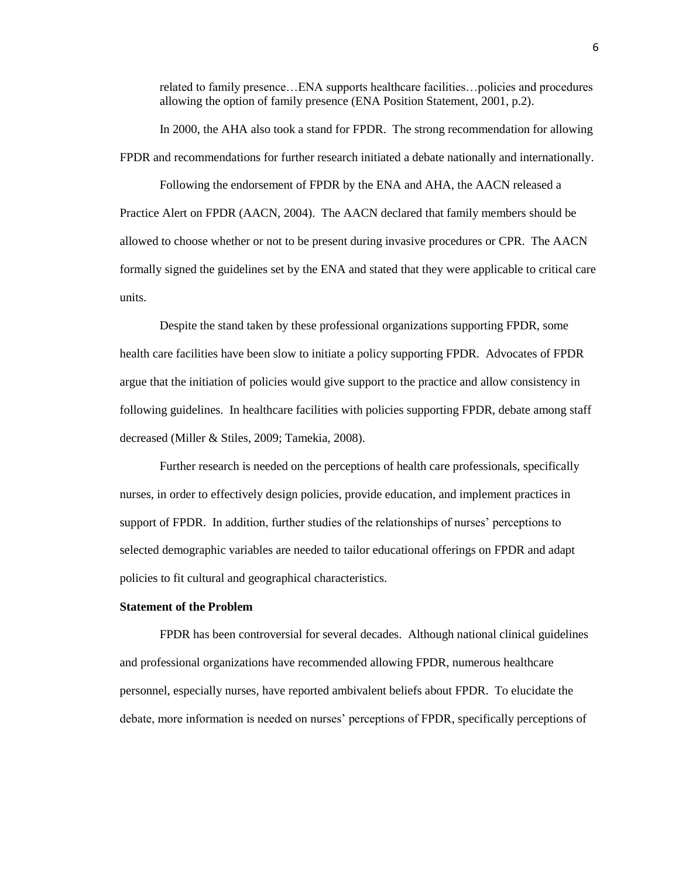related to family presence…ENA supports healthcare facilities…policies and procedures allowing the option of family presence (ENA Position Statement, 2001, p.2).

In 2000, the AHA also took a stand for FPDR. The strong recommendation for allowing FPDR and recommendations for further research initiated a debate nationally and internationally.

Following the endorsement of FPDR by the ENA and AHA, the AACN released a Practice Alert on FPDR (AACN, 2004). The AACN declared that family members should be allowed to choose whether or not to be present during invasive procedures or CPR. The AACN formally signed the guidelines set by the ENA and stated that they were applicable to critical care units.

Despite the stand taken by these professional organizations supporting FPDR, some health care facilities have been slow to initiate a policy supporting FPDR. Advocates of FPDR argue that the initiation of policies would give support to the practice and allow consistency in following guidelines. In healthcare facilities with policies supporting FPDR, debate among staff decreased (Miller & Stiles, 2009; Tamekia, 2008).

Further research is needed on the perceptions of health care professionals, specifically nurses, in order to effectively design policies, provide education, and implement practices in support of FPDR. In addition, further studies of the relationships of nurses' perceptions to selected demographic variables are needed to tailor educational offerings on FPDR and adapt policies to fit cultural and geographical characteristics.

## **Statement of the Problem**

FPDR has been controversial for several decades. Although national clinical guidelines and professional organizations have recommended allowing FPDR, numerous healthcare personnel, especially nurses, have reported ambivalent beliefs about FPDR. To elucidate the debate, more information is needed on nurses' perceptions of FPDR, specifically perceptions of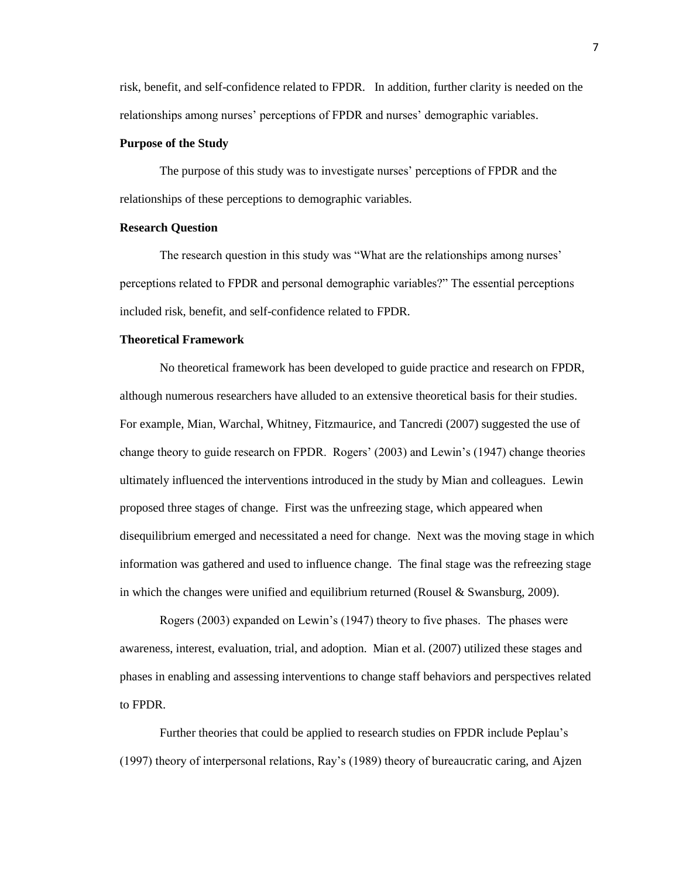risk, benefit, and self-confidence related to FPDR. In addition, further clarity is needed on the relationships among nurses' perceptions of FPDR and nurses' demographic variables.

#### **Purpose of the Study**

The purpose of this study was to investigate nurses' perceptions of FPDR and the relationships of these perceptions to demographic variables.

## **Research Question**

The research question in this study was "What are the relationships among nurses' perceptions related to FPDR and personal demographic variables?" The essential perceptions included risk, benefit, and self-confidence related to FPDR.

#### **Theoretical Framework**

No theoretical framework has been developed to guide practice and research on FPDR, although numerous researchers have alluded to an extensive theoretical basis for their studies. For example, Mian, Warchal, Whitney, Fitzmaurice, and Tancredi (2007) suggested the use of change theory to guide research on FPDR. Rogers' (2003) and Lewin's (1947) change theories ultimately influenced the interventions introduced in the study by Mian and colleagues. Lewin proposed three stages of change. First was the unfreezing stage, which appeared when disequilibrium emerged and necessitated a need for change. Next was the moving stage in which information was gathered and used to influence change. The final stage was the refreezing stage in which the changes were unified and equilibrium returned (Rousel & Swansburg, 2009).

Rogers (2003) expanded on Lewin's (1947) theory to five phases. The phases were awareness, interest, evaluation, trial, and adoption. Mian et al. (2007) utilized these stages and phases in enabling and assessing interventions to change staff behaviors and perspectives related to FPDR.

Further theories that could be applied to research studies on FPDR include Peplau's (1997) theory of interpersonal relations, Ray's (1989) theory of bureaucratic caring, and Ajzen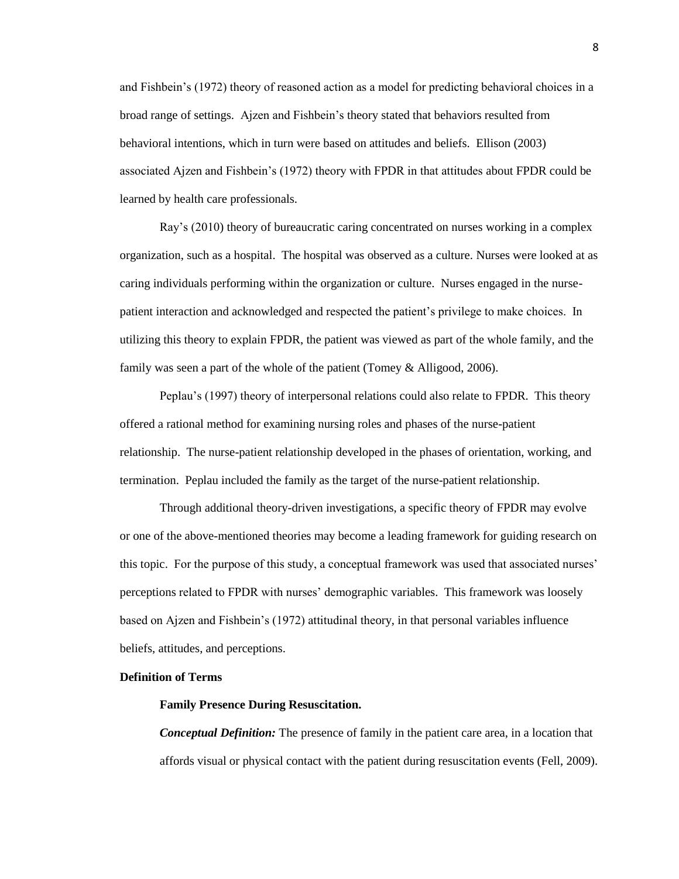and Fishbein's (1972) theory of reasoned action as a model for predicting behavioral choices in a broad range of settings. Ajzen and Fishbein's theory stated that behaviors resulted from behavioral intentions, which in turn were based on attitudes and beliefs. Ellison (2003) associated Ajzen and Fishbein's (1972) theory with FPDR in that attitudes about FPDR could be learned by health care professionals.

Ray's (2010) theory of bureaucratic caring concentrated on nurses working in a complex organization, such as a hospital. The hospital was observed as a culture. Nurses were looked at as caring individuals performing within the organization or culture. Nurses engaged in the nursepatient interaction and acknowledged and respected the patient's privilege to make choices. In utilizing this theory to explain FPDR, the patient was viewed as part of the whole family, and the family was seen a part of the whole of the patient (Tomey & Alligood, 2006).

Peplau's (1997) theory of interpersonal relations could also relate to FPDR. This theory offered a rational method for examining nursing roles and phases of the nurse-patient relationship. The nurse-patient relationship developed in the phases of orientation, working, and termination. Peplau included the family as the target of the nurse-patient relationship.

Through additional theory-driven investigations, a specific theory of FPDR may evolve or one of the above-mentioned theories may become a leading framework for guiding research on this topic. For the purpose of this study, a conceptual framework was used that associated nurses' perceptions related to FPDR with nurses' demographic variables. This framework was loosely based on Ajzen and Fishbein's (1972) attitudinal theory, in that personal variables influence beliefs, attitudes, and perceptions.

#### **Definition of Terms**

## **Family Presence During Resuscitation.**

*Conceptual Definition:* The presence of family in the patient care area, in a location that affords visual or physical contact with the patient during resuscitation events (Fell, 2009).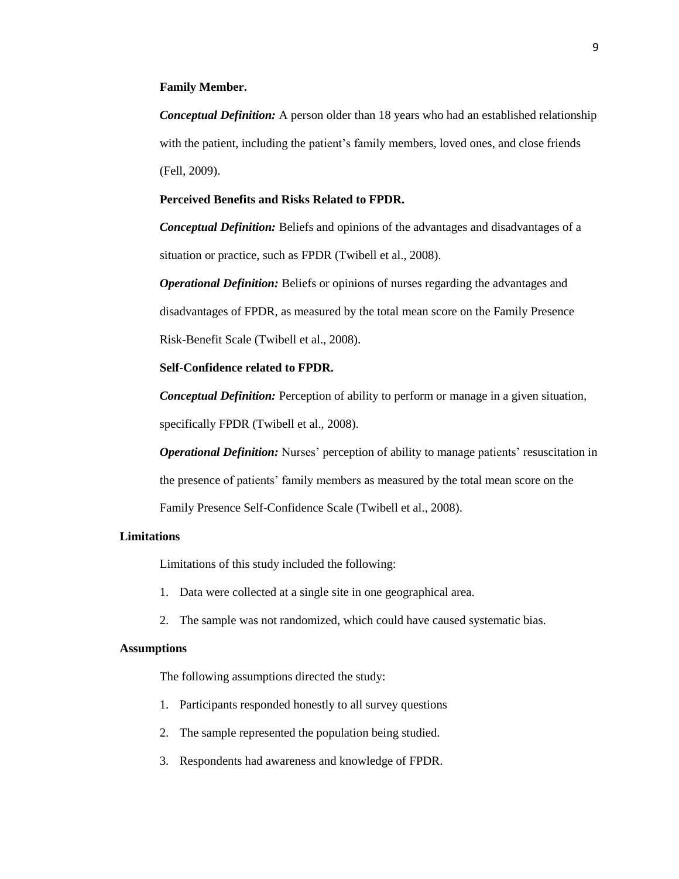#### **Family Member.**

*Conceptual Definition:* A person older than 18 years who had an established relationship with the patient, including the patient's family members, loved ones, and close friends (Fell, 2009).

#### **Perceived Benefits and Risks Related to FPDR.**

*Conceptual Definition:* Beliefs and opinions of the advantages and disadvantages of a situation or practice, such as FPDR (Twibell et al., 2008).

*Operational Definition:* Beliefs or opinions of nurses regarding the advantages and disadvantages of FPDR, as measured by the total mean score on the Family Presence Risk-Benefit Scale (Twibell et al., 2008).

# **Self-Confidence related to FPDR.**

*Conceptual Definition:* Perception of ability to perform or manage in a given situation, specifically FPDR (Twibell et al., 2008).

*Operational Definition:* Nurses' perception of ability to manage patients' resuscitation in the presence of patients' family members as measured by the total mean score on the Family Presence Self-Confidence Scale (Twibell et al., 2008).

#### **Limitations**

Limitations of this study included the following:

- 1. Data were collected at a single site in one geographical area.
- 2. The sample was not randomized, which could have caused systematic bias.

## **Assumptions**

The following assumptions directed the study:

- 1. Participants responded honestly to all survey questions
- 2. The sample represented the population being studied.
- 3. Respondents had awareness and knowledge of FPDR.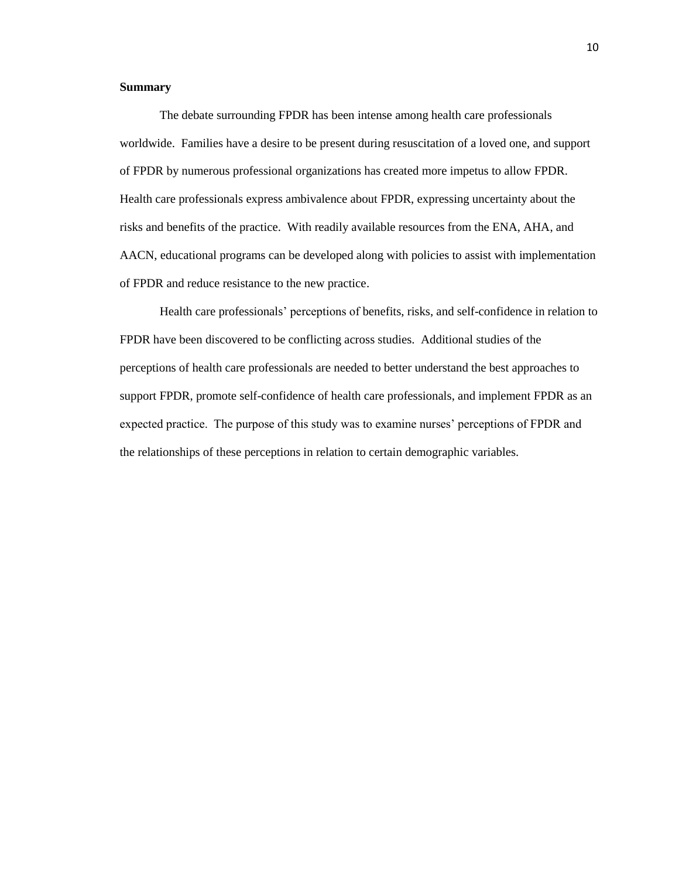#### **Summary**

The debate surrounding FPDR has been intense among health care professionals worldwide. Families have a desire to be present during resuscitation of a loved one, and support of FPDR by numerous professional organizations has created more impetus to allow FPDR. Health care professionals express ambivalence about FPDR, expressing uncertainty about the risks and benefits of the practice. With readily available resources from the ENA, AHA, and AACN, educational programs can be developed along with policies to assist with implementation of FPDR and reduce resistance to the new practice.

Health care professionals' perceptions of benefits, risks, and self-confidence in relation to FPDR have been discovered to be conflicting across studies. Additional studies of the perceptions of health care professionals are needed to better understand the best approaches to support FPDR, promote self-confidence of health care professionals, and implement FPDR as an expected practice. The purpose of this study was to examine nurses' perceptions of FPDR and the relationships of these perceptions in relation to certain demographic variables.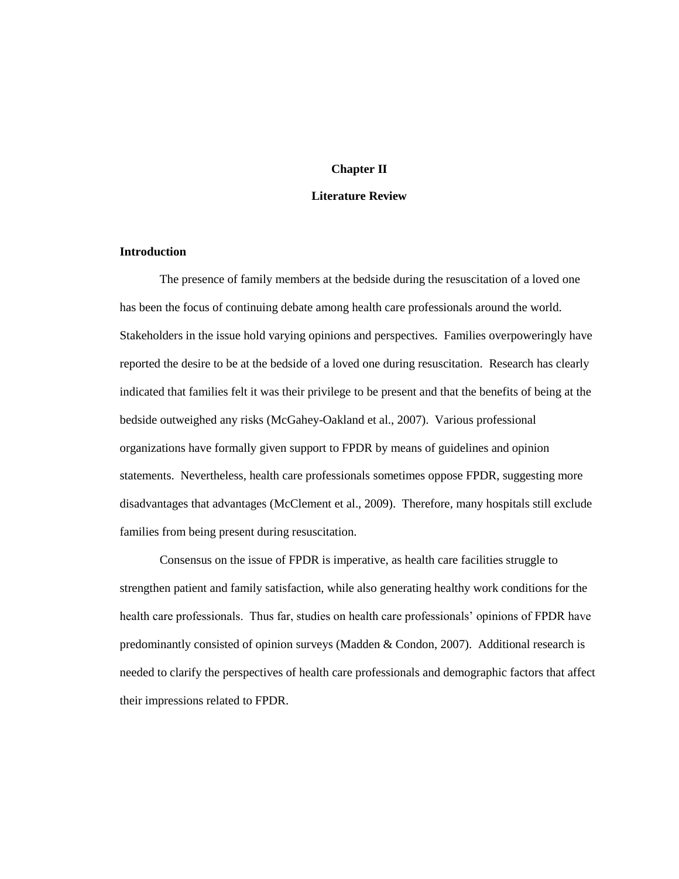### **Chapter II**

#### **Literature Review**

## **Introduction**

The presence of family members at the bedside during the resuscitation of a loved one has been the focus of continuing debate among health care professionals around the world. Stakeholders in the issue hold varying opinions and perspectives. Families overpoweringly have reported the desire to be at the bedside of a loved one during resuscitation. Research has clearly indicated that families felt it was their privilege to be present and that the benefits of being at the bedside outweighed any risks (McGahey-Oakland et al., 2007). Various professional organizations have formally given support to FPDR by means of guidelines and opinion statements. Nevertheless, health care professionals sometimes oppose FPDR, suggesting more disadvantages that advantages (McClement et al., 2009). Therefore, many hospitals still exclude families from being present during resuscitation.

Consensus on the issue of FPDR is imperative, as health care facilities struggle to strengthen patient and family satisfaction, while also generating healthy work conditions for the health care professionals. Thus far, studies on health care professionals' opinions of FPDR have predominantly consisted of opinion surveys (Madden & Condon, 2007). Additional research is needed to clarify the perspectives of health care professionals and demographic factors that affect their impressions related to FPDR.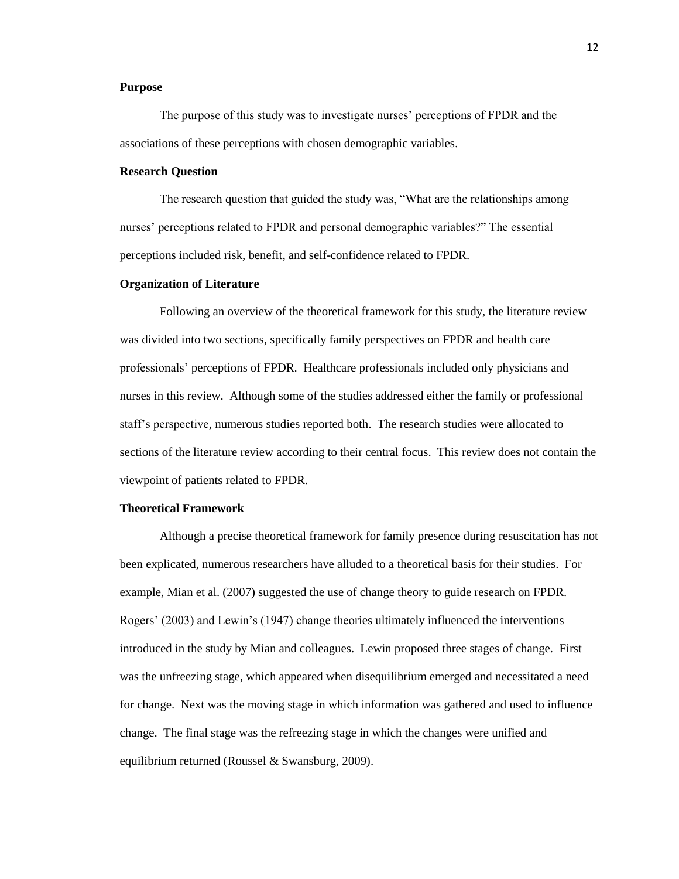## **Purpose**

The purpose of this study was to investigate nurses' perceptions of FPDR and the associations of these perceptions with chosen demographic variables.

## **Research Question**

The research question that guided the study was, "What are the relationships among nurses' perceptions related to FPDR and personal demographic variables?" The essential perceptions included risk, benefit, and self-confidence related to FPDR.

#### **Organization of Literature**

Following an overview of the theoretical framework for this study, the literature review was divided into two sections, specifically family perspectives on FPDR and health care professionals' perceptions of FPDR. Healthcare professionals included only physicians and nurses in this review. Although some of the studies addressed either the family or professional staff's perspective, numerous studies reported both. The research studies were allocated to sections of the literature review according to their central focus. This review does not contain the viewpoint of patients related to FPDR.

## **Theoretical Framework**

Although a precise theoretical framework for family presence during resuscitation has not been explicated, numerous researchers have alluded to a theoretical basis for their studies. For example, Mian et al. (2007) suggested the use of change theory to guide research on FPDR. Rogers' (2003) and Lewin's (1947) change theories ultimately influenced the interventions introduced in the study by Mian and colleagues. Lewin proposed three stages of change. First was the unfreezing stage, which appeared when disequilibrium emerged and necessitated a need for change. Next was the moving stage in which information was gathered and used to influence change. The final stage was the refreezing stage in which the changes were unified and equilibrium returned (Roussel & Swansburg, 2009).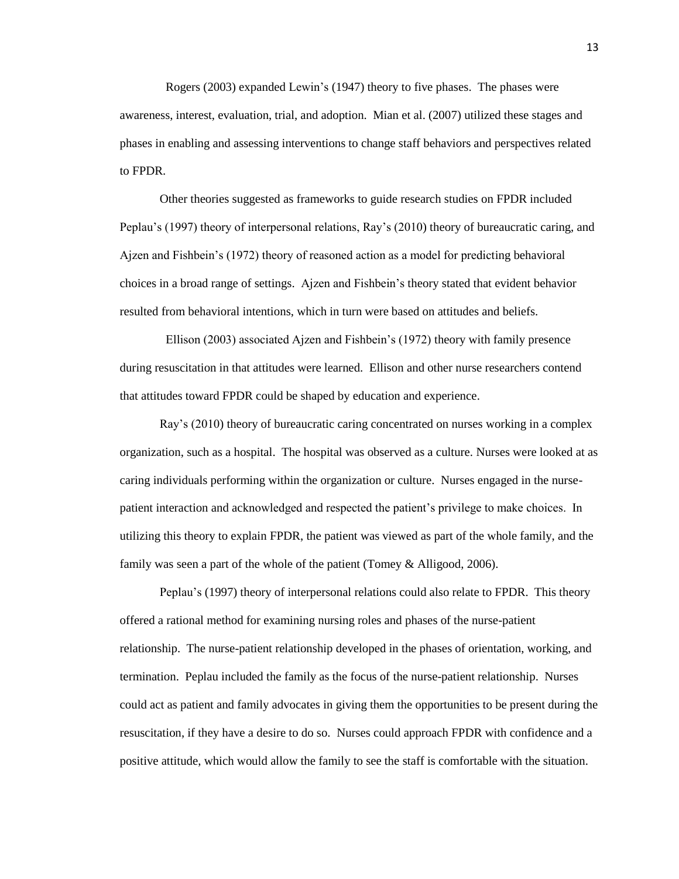Rogers (2003) expanded Lewin's (1947) theory to five phases. The phases were awareness, interest, evaluation, trial, and adoption. Mian et al. (2007) utilized these stages and phases in enabling and assessing interventions to change staff behaviors and perspectives related to FPDR.

Other theories suggested as frameworks to guide research studies on FPDR included Peplau's (1997) theory of interpersonal relations, Ray's (2010) theory of bureaucratic caring, and Ajzen and Fishbein's (1972) theory of reasoned action as a model for predicting behavioral choices in a broad range of settings. Ajzen and Fishbein's theory stated that evident behavior resulted from behavioral intentions, which in turn were based on attitudes and beliefs.

 Ellison (2003) associated Ajzen and Fishbein's (1972) theory with family presence during resuscitation in that attitudes were learned. Ellison and other nurse researchers contend that attitudes toward FPDR could be shaped by education and experience.

Ray's (2010) theory of bureaucratic caring concentrated on nurses working in a complex organization, such as a hospital. The hospital was observed as a culture. Nurses were looked at as caring individuals performing within the organization or culture. Nurses engaged in the nursepatient interaction and acknowledged and respected the patient's privilege to make choices. In utilizing this theory to explain FPDR, the patient was viewed as part of the whole family, and the family was seen a part of the whole of the patient (Tomey & Alligood, 2006).

Peplau's (1997) theory of interpersonal relations could also relate to FPDR. This theory offered a rational method for examining nursing roles and phases of the nurse-patient relationship. The nurse-patient relationship developed in the phases of orientation, working, and termination. Peplau included the family as the focus of the nurse-patient relationship. Nurses could act as patient and family advocates in giving them the opportunities to be present during the resuscitation, if they have a desire to do so. Nurses could approach FPDR with confidence and a positive attitude, which would allow the family to see the staff is comfortable with the situation.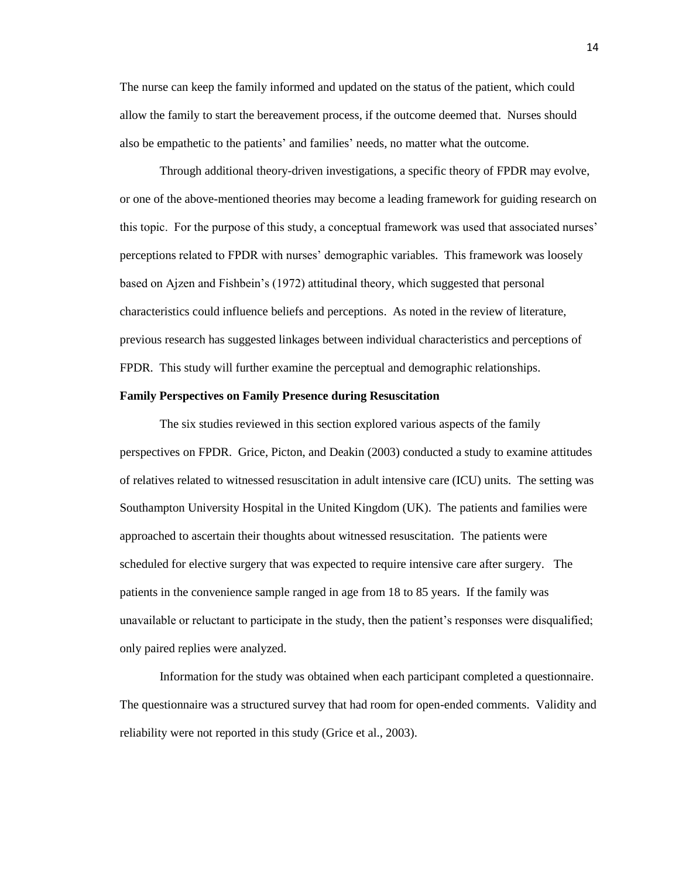The nurse can keep the family informed and updated on the status of the patient, which could allow the family to start the bereavement process, if the outcome deemed that. Nurses should also be empathetic to the patients' and families' needs, no matter what the outcome.

Through additional theory-driven investigations, a specific theory of FPDR may evolve, or one of the above-mentioned theories may become a leading framework for guiding research on this topic. For the purpose of this study, a conceptual framework was used that associated nurses' perceptions related to FPDR with nurses' demographic variables. This framework was loosely based on Ajzen and Fishbein's (1972) attitudinal theory, which suggested that personal characteristics could influence beliefs and perceptions. As noted in the review of literature, previous research has suggested linkages between individual characteristics and perceptions of FPDR. This study will further examine the perceptual and demographic relationships.

## **Family Perspectives on Family Presence during Resuscitation**

The six studies reviewed in this section explored various aspects of the family perspectives on FPDR. Grice, Picton, and Deakin (2003) conducted a study to examine attitudes of relatives related to witnessed resuscitation in adult intensive care (ICU) units. The setting was Southampton University Hospital in the United Kingdom (UK). The patients and families were approached to ascertain their thoughts about witnessed resuscitation. The patients were scheduled for elective surgery that was expected to require intensive care after surgery. The patients in the convenience sample ranged in age from 18 to 85 years. If the family was unavailable or reluctant to participate in the study, then the patient's responses were disqualified; only paired replies were analyzed.

Information for the study was obtained when each participant completed a questionnaire. The questionnaire was a structured survey that had room for open-ended comments. Validity and reliability were not reported in this study (Grice et al., 2003).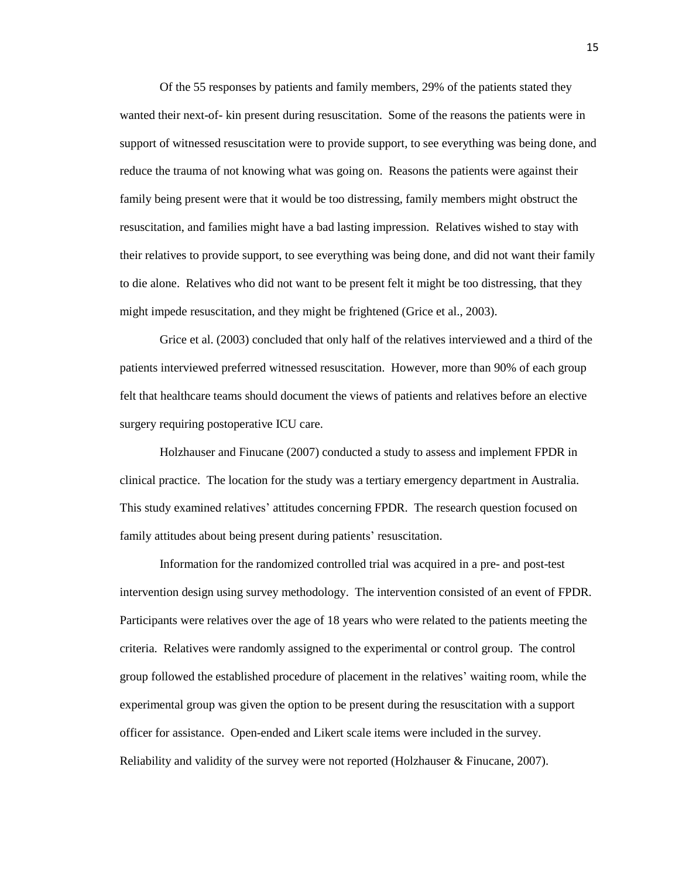Of the 55 responses by patients and family members, 29% of the patients stated they wanted their next-of- kin present during resuscitation. Some of the reasons the patients were in support of witnessed resuscitation were to provide support, to see everything was being done, and reduce the trauma of not knowing what was going on. Reasons the patients were against their family being present were that it would be too distressing, family members might obstruct the resuscitation, and families might have a bad lasting impression. Relatives wished to stay with their relatives to provide support, to see everything was being done, and did not want their family to die alone. Relatives who did not want to be present felt it might be too distressing, that they might impede resuscitation, and they might be frightened (Grice et al., 2003).

Grice et al. (2003) concluded that only half of the relatives interviewed and a third of the patients interviewed preferred witnessed resuscitation. However, more than 90% of each group felt that healthcare teams should document the views of patients and relatives before an elective surgery requiring postoperative ICU care.

Holzhauser and Finucane (2007) conducted a study to assess and implement FPDR in clinical practice. The location for the study was a tertiary emergency department in Australia. This study examined relatives' attitudes concerning FPDR. The research question focused on family attitudes about being present during patients' resuscitation.

Information for the randomized controlled trial was acquired in a pre- and post-test intervention design using survey methodology. The intervention consisted of an event of FPDR. Participants were relatives over the age of 18 years who were related to the patients meeting the criteria. Relatives were randomly assigned to the experimental or control group. The control group followed the established procedure of placement in the relatives' waiting room, while the experimental group was given the option to be present during the resuscitation with a support officer for assistance. Open-ended and Likert scale items were included in the survey. Reliability and validity of the survey were not reported (Holzhauser & Finucane, 2007).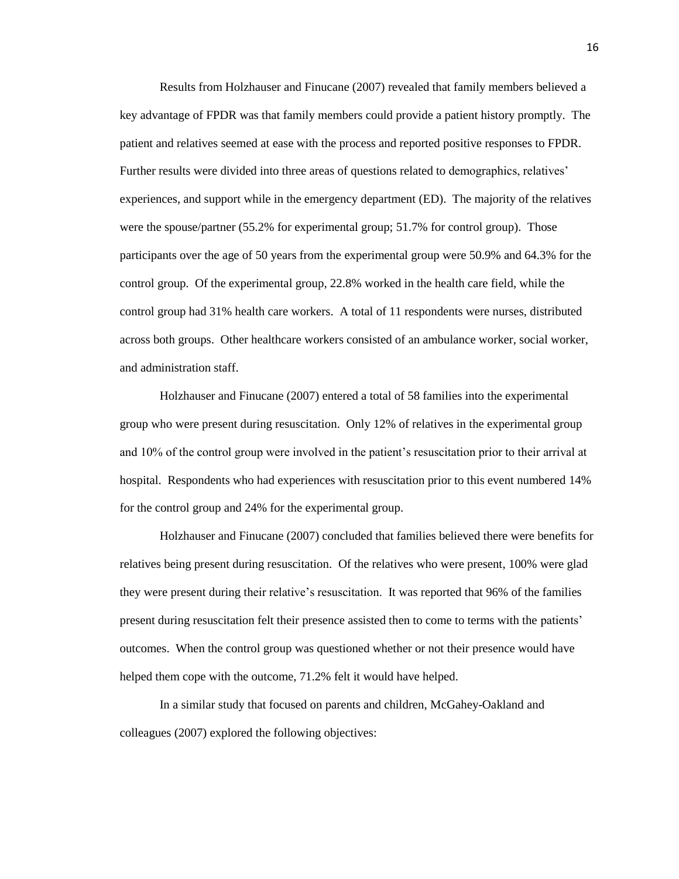Results from Holzhauser and Finucane (2007) revealed that family members believed a key advantage of FPDR was that family members could provide a patient history promptly. The patient and relatives seemed at ease with the process and reported positive responses to FPDR. Further results were divided into three areas of questions related to demographics, relatives' experiences, and support while in the emergency department (ED). The majority of the relatives were the spouse/partner (55.2% for experimental group; 51.7% for control group). Those participants over the age of 50 years from the experimental group were 50.9% and 64.3% for the control group. Of the experimental group, 22.8% worked in the health care field, while the control group had 31% health care workers. A total of 11 respondents were nurses, distributed across both groups. Other healthcare workers consisted of an ambulance worker, social worker, and administration staff.

Holzhauser and Finucane (2007) entered a total of 58 families into the experimental group who were present during resuscitation. Only 12% of relatives in the experimental group and 10% of the control group were involved in the patient's resuscitation prior to their arrival at hospital. Respondents who had experiences with resuscitation prior to this event numbered 14% for the control group and 24% for the experimental group.

Holzhauser and Finucane (2007) concluded that families believed there were benefits for relatives being present during resuscitation. Of the relatives who were present, 100% were glad they were present during their relative's resuscitation. It was reported that 96% of the families present during resuscitation felt their presence assisted then to come to terms with the patients' outcomes. When the control group was questioned whether or not their presence would have helped them cope with the outcome, 71.2% felt it would have helped.

In a similar study that focused on parents and children, McGahey-Oakland and colleagues (2007) explored the following objectives: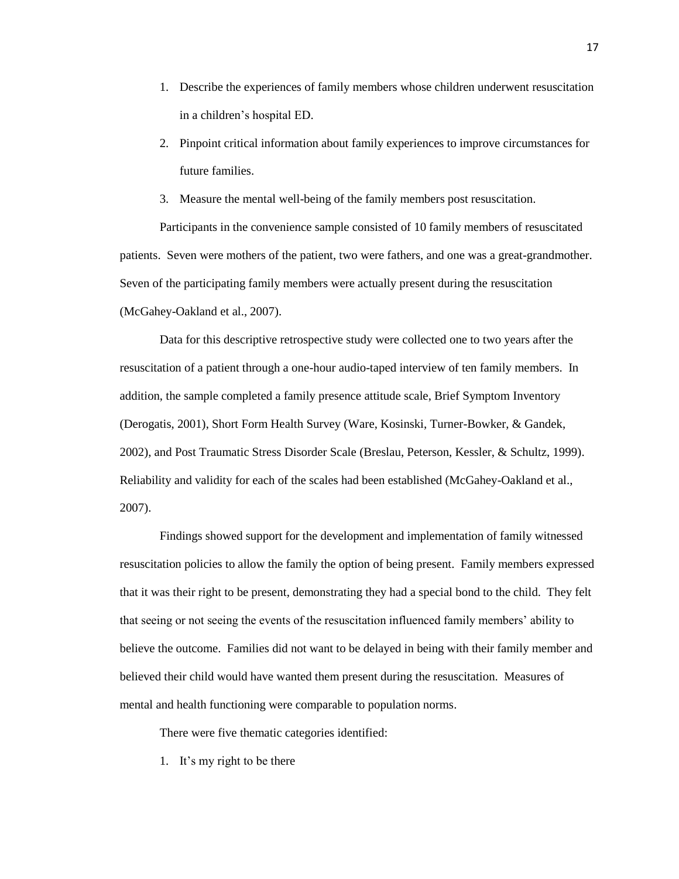- 1. Describe the experiences of family members whose children underwent resuscitation in a children's hospital ED.
- 2. Pinpoint critical information about family experiences to improve circumstances for future families.
- 3. Measure the mental well-being of the family members post resuscitation.

Participants in the convenience sample consisted of 10 family members of resuscitated patients. Seven were mothers of the patient, two were fathers, and one was a great-grandmother. Seven of the participating family members were actually present during the resuscitation (McGahey-Oakland et al., 2007).

Data for this descriptive retrospective study were collected one to two years after the resuscitation of a patient through a one-hour audio-taped interview of ten family members. In addition, the sample completed a family presence attitude scale, Brief Symptom Inventory (Derogatis, 2001), Short Form Health Survey (Ware, Kosinski, Turner-Bowker, & Gandek, 2002), and Post Traumatic Stress Disorder Scale (Breslau, Peterson, Kessler, & Schultz, 1999). Reliability and validity for each of the scales had been established (McGahey-Oakland et al., 2007).

Findings showed support for the development and implementation of family witnessed resuscitation policies to allow the family the option of being present. Family members expressed that it was their right to be present, demonstrating they had a special bond to the child. They felt that seeing or not seeing the events of the resuscitation influenced family members' ability to believe the outcome. Families did not want to be delayed in being with their family member and believed their child would have wanted them present during the resuscitation. Measures of mental and health functioning were comparable to population norms.

There were five thematic categories identified:

1. It's my right to be there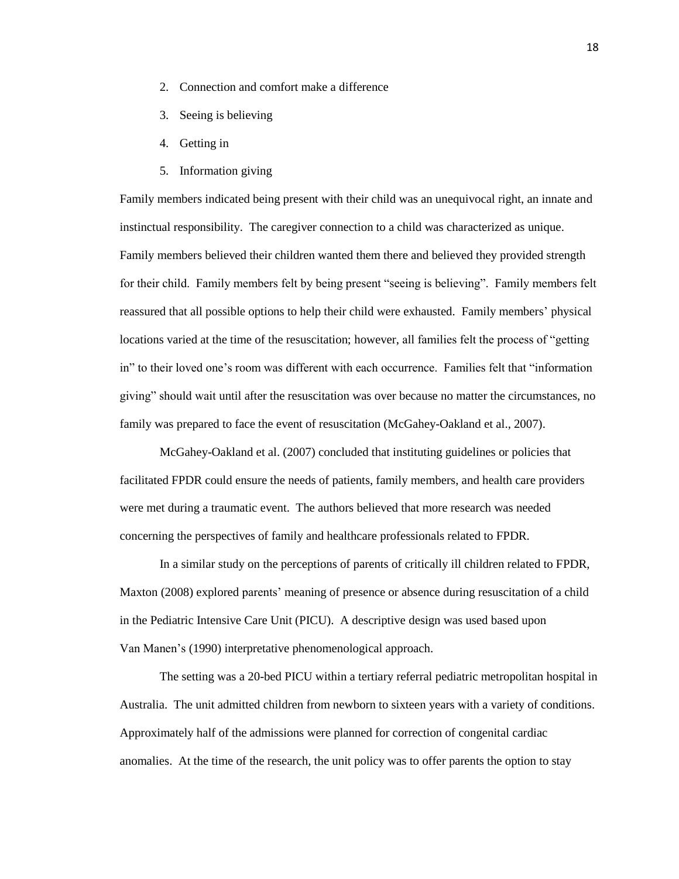- 2. Connection and comfort make a difference
- 3. Seeing is believing
- 4. Getting in
- 5. Information giving

Family members indicated being present with their child was an unequivocal right, an innate and instinctual responsibility. The caregiver connection to a child was characterized as unique. Family members believed their children wanted them there and believed they provided strength for their child. Family members felt by being present "seeing is believing". Family members felt reassured that all possible options to help their child were exhausted. Family members' physical locations varied at the time of the resuscitation; however, all families felt the process of "getting in" to their loved one's room was different with each occurrence. Families felt that "information giving" should wait until after the resuscitation was over because no matter the circumstances, no family was prepared to face the event of resuscitation (McGahey-Oakland et al., 2007).

McGahey-Oakland et al. (2007) concluded that instituting guidelines or policies that facilitated FPDR could ensure the needs of patients, family members, and health care providers were met during a traumatic event. The authors believed that more research was needed concerning the perspectives of family and healthcare professionals related to FPDR.

In a similar study on the perceptions of parents of critically ill children related to FPDR, Maxton (2008) explored parents' meaning of presence or absence during resuscitation of a child in the Pediatric Intensive Care Unit (PICU). A descriptive design was used based upon Van Manen's (1990) interpretative phenomenological approach.

The setting was a 20-bed PICU within a tertiary referral pediatric metropolitan hospital in Australia. The unit admitted children from newborn to sixteen years with a variety of conditions. Approximately half of the admissions were planned for correction of congenital cardiac anomalies. At the time of the research, the unit policy was to offer parents the option to stay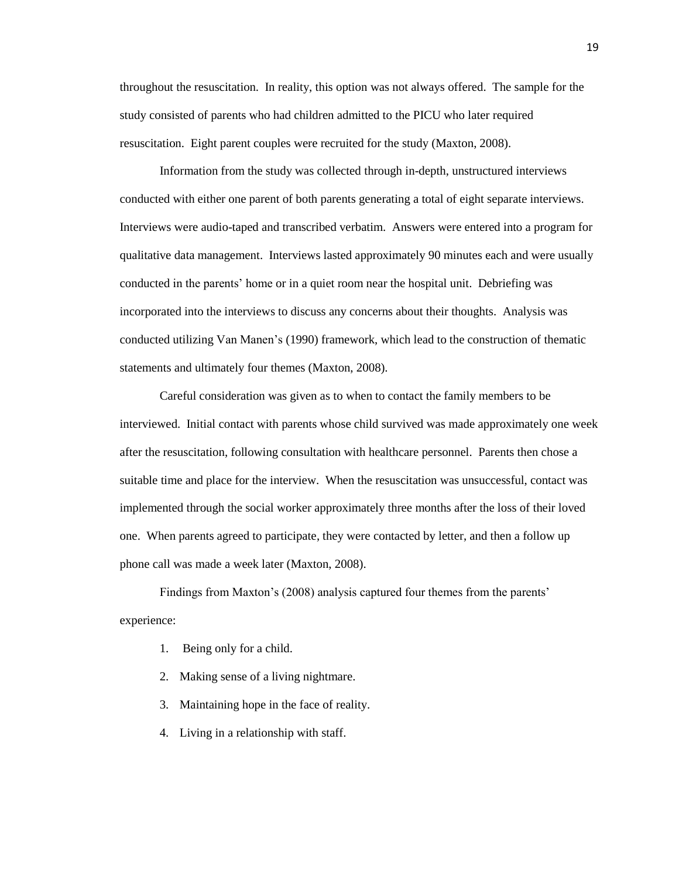throughout the resuscitation. In reality, this option was not always offered. The sample for the study consisted of parents who had children admitted to the PICU who later required resuscitation. Eight parent couples were recruited for the study (Maxton, 2008).

Information from the study was collected through in-depth, unstructured interviews conducted with either one parent of both parents generating a total of eight separate interviews. Interviews were audio-taped and transcribed verbatim. Answers were entered into a program for qualitative data management. Interviews lasted approximately 90 minutes each and were usually conducted in the parents' home or in a quiet room near the hospital unit. Debriefing was incorporated into the interviews to discuss any concerns about their thoughts. Analysis was conducted utilizing Van Manen's (1990) framework, which lead to the construction of thematic statements and ultimately four themes (Maxton, 2008).

Careful consideration was given as to when to contact the family members to be interviewed. Initial contact with parents whose child survived was made approximately one week after the resuscitation, following consultation with healthcare personnel. Parents then chose a suitable time and place for the interview. When the resuscitation was unsuccessful, contact was implemented through the social worker approximately three months after the loss of their loved one. When parents agreed to participate, they were contacted by letter, and then a follow up phone call was made a week later (Maxton, 2008).

Findings from Maxton's (2008) analysis captured four themes from the parents' experience:

- 1. Being only for a child.
- 2. Making sense of a living nightmare.
- 3. Maintaining hope in the face of reality.
- 4. Living in a relationship with staff.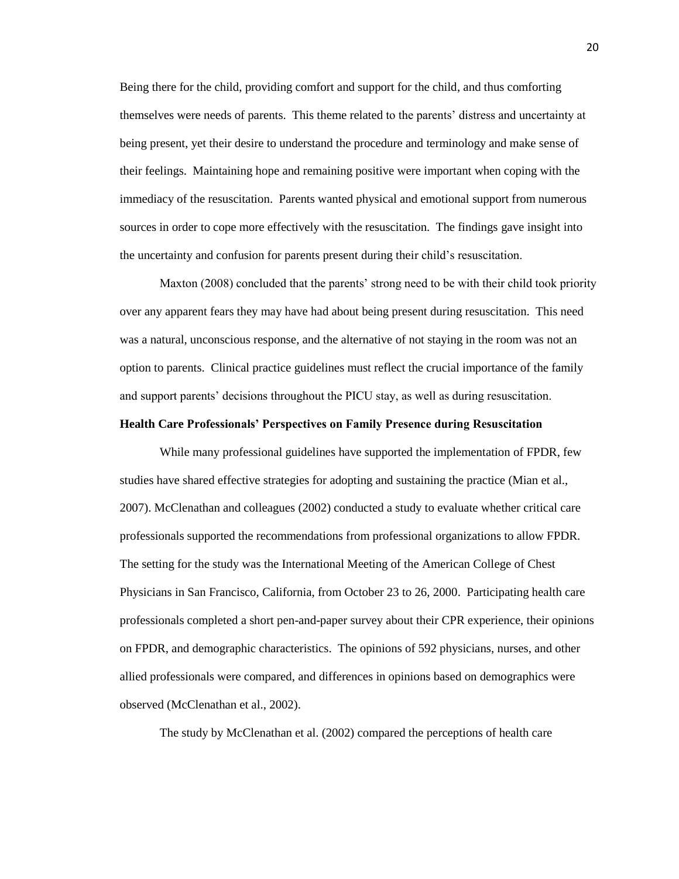Being there for the child, providing comfort and support for the child, and thus comforting themselves were needs of parents. This theme related to the parents' distress and uncertainty at being present, yet their desire to understand the procedure and terminology and make sense of their feelings. Maintaining hope and remaining positive were important when coping with the immediacy of the resuscitation. Parents wanted physical and emotional support from numerous sources in order to cope more effectively with the resuscitation. The findings gave insight into the uncertainty and confusion for parents present during their child's resuscitation.

Maxton (2008) concluded that the parents' strong need to be with their child took priority over any apparent fears they may have had about being present during resuscitation. This need was a natural, unconscious response, and the alternative of not staying in the room was not an option to parents. Clinical practice guidelines must reflect the crucial importance of the family and support parents' decisions throughout the PICU stay, as well as during resuscitation.

## **Health Care Professionals' Perspectives on Family Presence during Resuscitation**

While many professional guidelines have supported the implementation of FPDR, few studies have shared effective strategies for adopting and sustaining the practice (Mian et al., 2007). McClenathan and colleagues (2002) conducted a study to evaluate whether critical care professionals supported the recommendations from professional organizations to allow FPDR. The setting for the study was the International Meeting of the American College of Chest Physicians in San Francisco, California, from October 23 to 26, 2000. Participating health care professionals completed a short pen-and-paper survey about their CPR experience, their opinions on FPDR, and demographic characteristics. The opinions of 592 physicians, nurses, and other allied professionals were compared, and differences in opinions based on demographics were observed (McClenathan et al., 2002).

The study by McClenathan et al. (2002) compared the perceptions of health care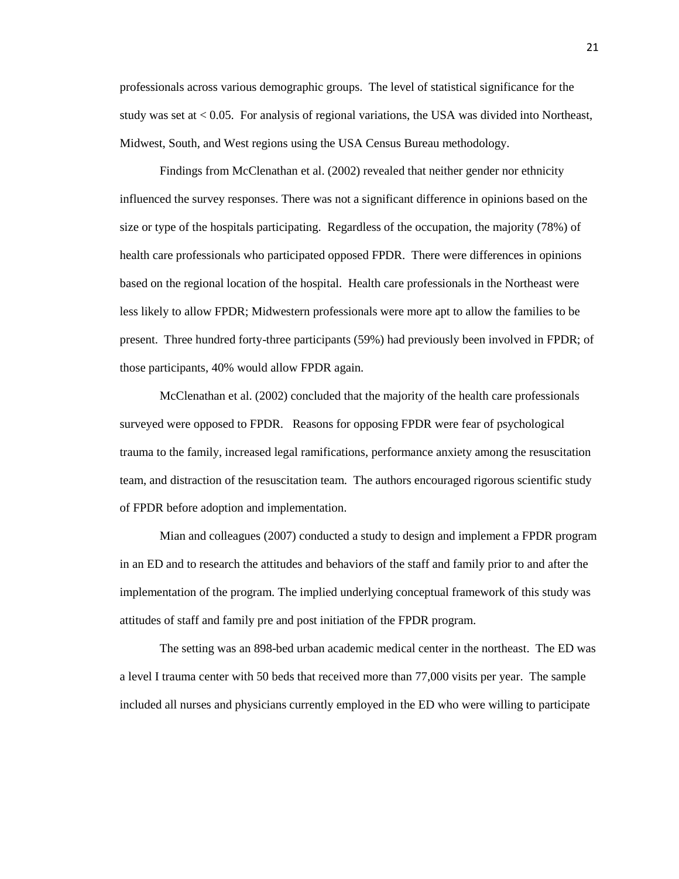professionals across various demographic groups. The level of statistical significance for the study was set at < 0.05. For analysis of regional variations, the USA was divided into Northeast, Midwest, South, and West regions using the USA Census Bureau methodology.

Findings from McClenathan et al. (2002) revealed that neither gender nor ethnicity influenced the survey responses. There was not a significant difference in opinions based on the size or type of the hospitals participating. Regardless of the occupation, the majority (78%) of health care professionals who participated opposed FPDR. There were differences in opinions based on the regional location of the hospital. Health care professionals in the Northeast were less likely to allow FPDR; Midwestern professionals were more apt to allow the families to be present. Three hundred forty-three participants (59%) had previously been involved in FPDR; of those participants, 40% would allow FPDR again.

McClenathan et al. (2002) concluded that the majority of the health care professionals surveyed were opposed to FPDR. Reasons for opposing FPDR were fear of psychological trauma to the family, increased legal ramifications, performance anxiety among the resuscitation team, and distraction of the resuscitation team. The authors encouraged rigorous scientific study of FPDR before adoption and implementation.

Mian and colleagues (2007) conducted a study to design and implement a FPDR program in an ED and to research the attitudes and behaviors of the staff and family prior to and after the implementation of the program. The implied underlying conceptual framework of this study was attitudes of staff and family pre and post initiation of the FPDR program.

The setting was an 898-bed urban academic medical center in the northeast. The ED was a level I trauma center with 50 beds that received more than 77,000 visits per year. The sample included all nurses and physicians currently employed in the ED who were willing to participate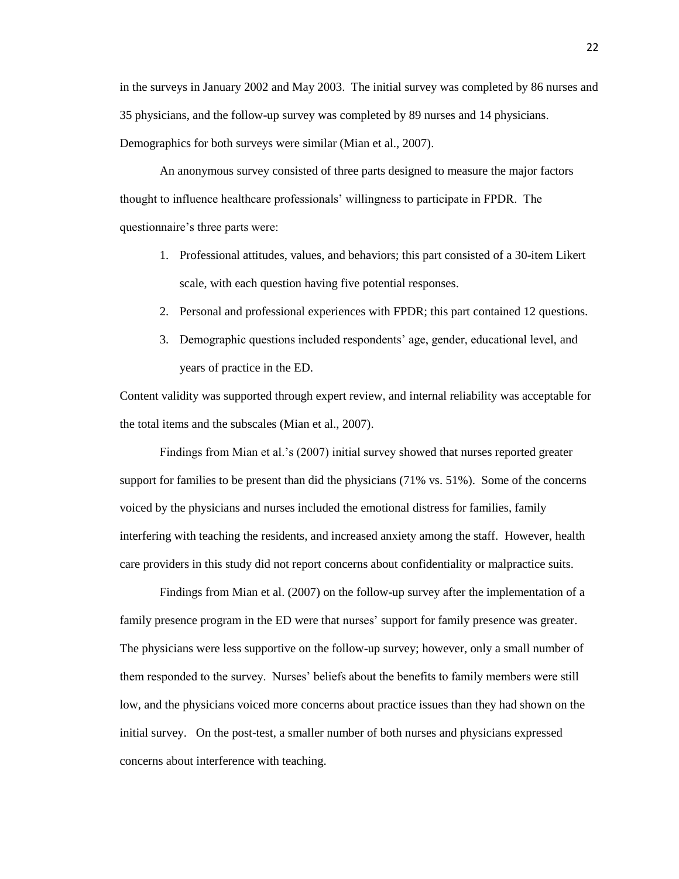in the surveys in January 2002 and May 2003. The initial survey was completed by 86 nurses and 35 physicians, and the follow-up survey was completed by 89 nurses and 14 physicians. Demographics for both surveys were similar (Mian et al., 2007).

An anonymous survey consisted of three parts designed to measure the major factors thought to influence healthcare professionals' willingness to participate in FPDR. The questionnaire's three parts were:

- 1. Professional attitudes, values, and behaviors; this part consisted of a 30-item Likert scale, with each question having five potential responses.
- 2. Personal and professional experiences with FPDR; this part contained 12 questions.
- 3. Demographic questions included respondents' age, gender, educational level, and years of practice in the ED.

Content validity was supported through expert review, and internal reliability was acceptable for the total items and the subscales (Mian et al., 2007).

Findings from Mian et al.'s (2007) initial survey showed that nurses reported greater support for families to be present than did the physicians (71% vs. 51%). Some of the concerns voiced by the physicians and nurses included the emotional distress for families, family interfering with teaching the residents, and increased anxiety among the staff. However, health care providers in this study did not report concerns about confidentiality or malpractice suits.

Findings from Mian et al. (2007) on the follow-up survey after the implementation of a family presence program in the ED were that nurses' support for family presence was greater. The physicians were less supportive on the follow-up survey; however, only a small number of them responded to the survey. Nurses' beliefs about the benefits to family members were still low, and the physicians voiced more concerns about practice issues than they had shown on the initial survey. On the post-test, a smaller number of both nurses and physicians expressed concerns about interference with teaching.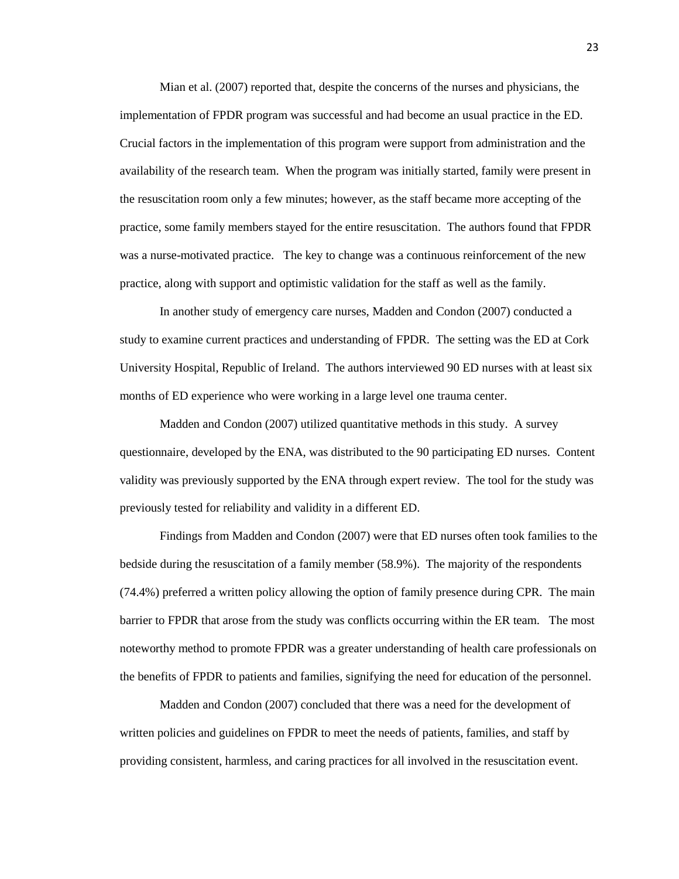Mian et al. (2007) reported that, despite the concerns of the nurses and physicians, the implementation of FPDR program was successful and had become an usual practice in the ED. Crucial factors in the implementation of this program were support from administration and the availability of the research team. When the program was initially started, family were present in the resuscitation room only a few minutes; however, as the staff became more accepting of the practice, some family members stayed for the entire resuscitation. The authors found that FPDR was a nurse-motivated practice. The key to change was a continuous reinforcement of the new practice, along with support and optimistic validation for the staff as well as the family.

In another study of emergency care nurses, Madden and Condon (2007) conducted a study to examine current practices and understanding of FPDR. The setting was the ED at Cork University Hospital, Republic of Ireland. The authors interviewed 90 ED nurses with at least six months of ED experience who were working in a large level one trauma center.

Madden and Condon (2007) utilized quantitative methods in this study. A survey questionnaire, developed by the ENA, was distributed to the 90 participating ED nurses. Content validity was previously supported by the ENA through expert review. The tool for the study was previously tested for reliability and validity in a different ED.

Findings from Madden and Condon (2007) were that ED nurses often took families to the bedside during the resuscitation of a family member (58.9%). The majority of the respondents (74.4%) preferred a written policy allowing the option of family presence during CPR. The main barrier to FPDR that arose from the study was conflicts occurring within the ER team. The most noteworthy method to promote FPDR was a greater understanding of health care professionals on the benefits of FPDR to patients and families, signifying the need for education of the personnel.

Madden and Condon (2007) concluded that there was a need for the development of written policies and guidelines on FPDR to meet the needs of patients, families, and staff by providing consistent, harmless, and caring practices for all involved in the resuscitation event.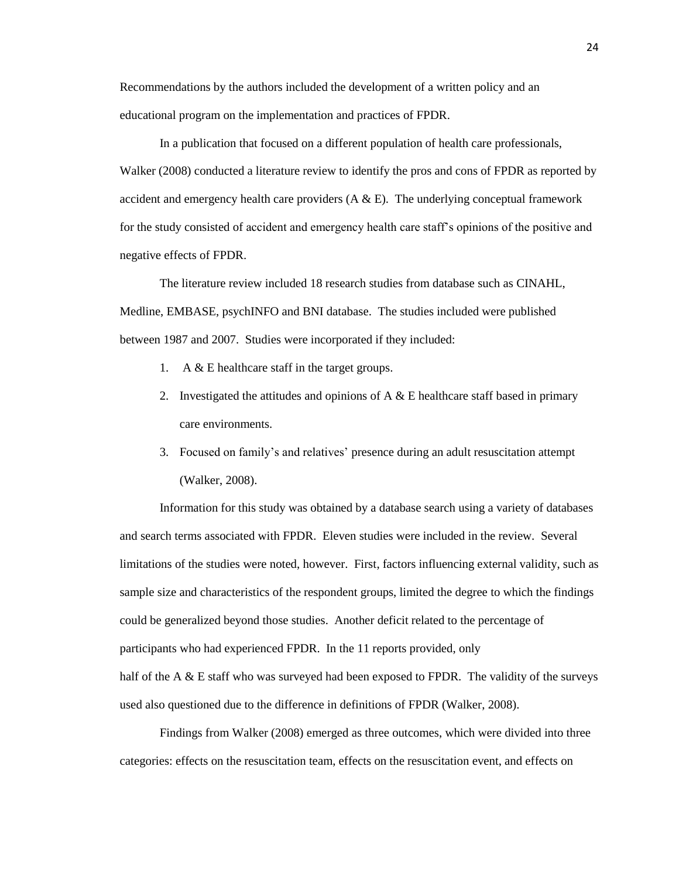Recommendations by the authors included the development of a written policy and an educational program on the implementation and practices of FPDR.

In a publication that focused on a different population of health care professionals, Walker (2008) conducted a literature review to identify the pros and cons of FPDR as reported by accident and emergency health care providers  $(A \& E)$ . The underlying conceptual framework for the study consisted of accident and emergency health care staff's opinions of the positive and negative effects of FPDR.

The literature review included 18 research studies from database such as CINAHL, Medline, EMBASE, psychINFO and BNI database. The studies included were published between 1987 and 2007. Studies were incorporated if they included:

- 1. A & E healthcare staff in the target groups.
- 2. Investigated the attitudes and opinions of  $A \& B$  healthcare staff based in primary care environments.
- 3. Focused on family's and relatives' presence during an adult resuscitation attempt (Walker, 2008).

Information for this study was obtained by a database search using a variety of databases and search terms associated with FPDR. Eleven studies were included in the review. Several limitations of the studies were noted, however. First, factors influencing external validity, such as sample size and characteristics of the respondent groups, limited the degree to which the findings could be generalized beyond those studies. Another deficit related to the percentage of participants who had experienced FPDR. In the 11 reports provided, only half of the A  $\&$  E staff who was surveyed had been exposed to FPDR. The validity of the surveys used also questioned due to the difference in definitions of FPDR (Walker, 2008).

Findings from Walker (2008) emerged as three outcomes, which were divided into three categories: effects on the resuscitation team, effects on the resuscitation event, and effects on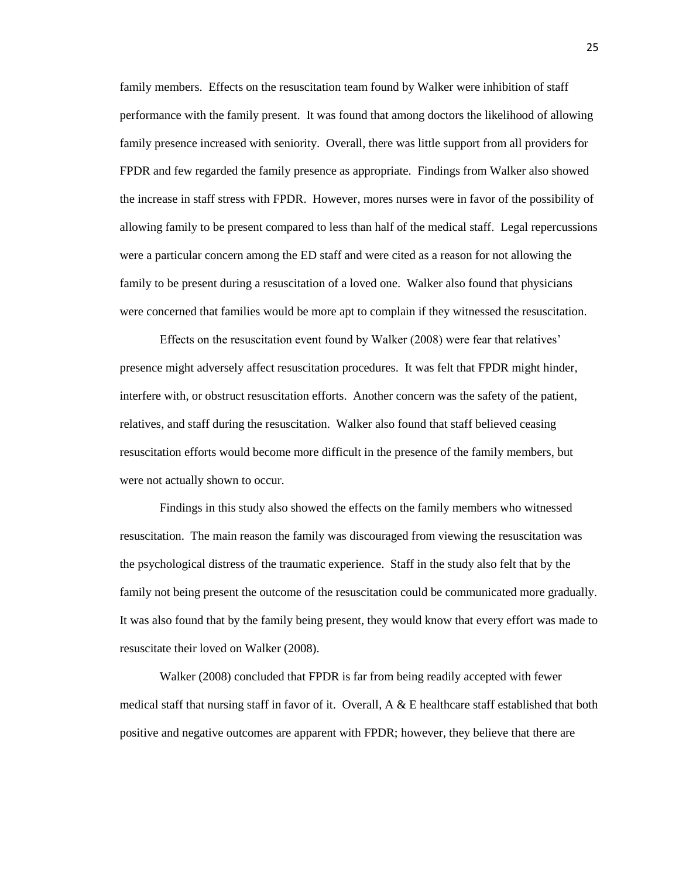family members. Effects on the resuscitation team found by Walker were inhibition of staff performance with the family present. It was found that among doctors the likelihood of allowing family presence increased with seniority. Overall, there was little support from all providers for FPDR and few regarded the family presence as appropriate. Findings from Walker also showed the increase in staff stress with FPDR. However, mores nurses were in favor of the possibility of allowing family to be present compared to less than half of the medical staff. Legal repercussions were a particular concern among the ED staff and were cited as a reason for not allowing the family to be present during a resuscitation of a loved one. Walker also found that physicians were concerned that families would be more apt to complain if they witnessed the resuscitation.

Effects on the resuscitation event found by Walker (2008) were fear that relatives' presence might adversely affect resuscitation procedures. It was felt that FPDR might hinder, interfere with, or obstruct resuscitation efforts. Another concern was the safety of the patient, relatives, and staff during the resuscitation. Walker also found that staff believed ceasing resuscitation efforts would become more difficult in the presence of the family members, but were not actually shown to occur.

Findings in this study also showed the effects on the family members who witnessed resuscitation. The main reason the family was discouraged from viewing the resuscitation was the psychological distress of the traumatic experience. Staff in the study also felt that by the family not being present the outcome of the resuscitation could be communicated more gradually. It was also found that by the family being present, they would know that every effort was made to resuscitate their loved on Walker (2008).

Walker (2008) concluded that FPDR is far from being readily accepted with fewer medical staff that nursing staff in favor of it. Overall,  $A \& E$  healthcare staff established that both positive and negative outcomes are apparent with FPDR; however, they believe that there are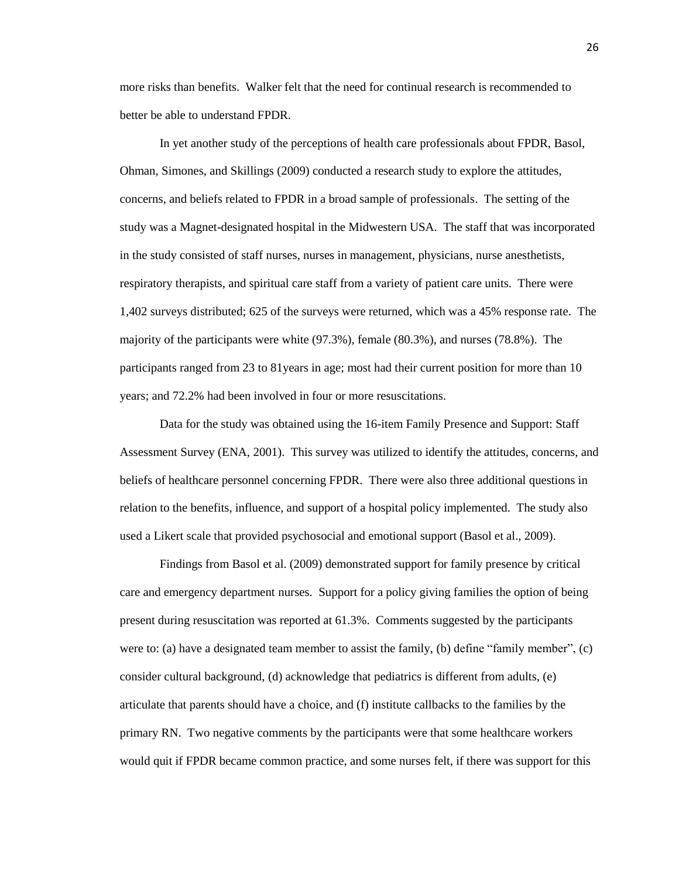more risks than benefits. Walker felt that the need for continual research is recommended to better be able to understand FPDR.

In yet another study of the perceptions of health care professionals about FPDR, Basol, Ohman, Simones, and Skillings (2009) conducted a research study to explore the attitudes, concerns, and beliefs related to FPDR in a broad sample of professionals. The setting of the study was a Magnet-designated hospital in the Midwestern USA. The staff that was incorporated in the study consisted of staff nurses, nurses in management, physicians, nurse anesthetists, respiratory therapists, and spiritual care staff from a variety of patient care units. There were 1,402 surveys distributed; 625 of the surveys were returned, which was a 45% response rate. The majority of the participants were white (97.3%), female (80.3%), and nurses (78.8%). The participants ranged from 23 to 81years in age; most had their current position for more than 10 years; and 72.2% had been involved in four or more resuscitations.

Data for the study was obtained using the 16-item Family Presence and Support: Staff Assessment Survey (ENA, 2001). This survey was utilized to identify the attitudes, concerns, and beliefs of healthcare personnel concerning FPDR. There were also three additional questions in relation to the benefits, influence, and support of a hospital policy implemented. The study also used a Likert scale that provided psychosocial and emotional support (Basol et al., 2009).

Findings from Basol et al. (2009) demonstrated support for family presence by critical care and emergency department nurses. Support for a policy giving families the option of being present during resuscitation was reported at 61.3%. Comments suggested by the participants were to: (a) have a designated team member to assist the family, (b) define "family member", (c) consider cultural background, (d) acknowledge that pediatrics is different from adults, (e) articulate that parents should have a choice, and (f) institute callbacks to the families by the primary RN. Two negative comments by the participants were that some healthcare workers would quit if FPDR became common practice, and some nurses felt, if there was support for this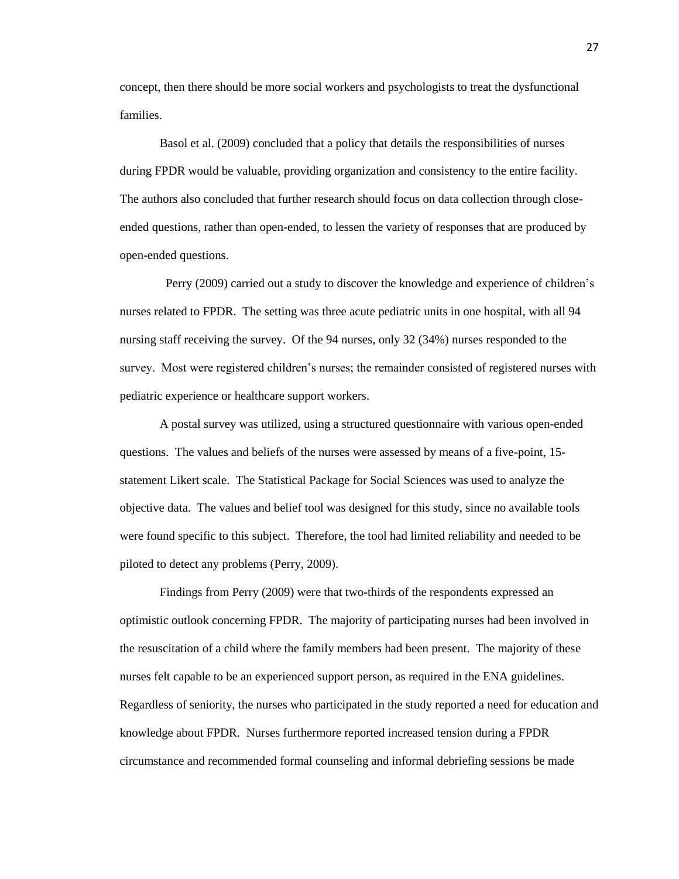concept, then there should be more social workers and psychologists to treat the dysfunctional families.

Basol et al. (2009) concluded that a policy that details the responsibilities of nurses during FPDR would be valuable, providing organization and consistency to the entire facility. The authors also concluded that further research should focus on data collection through closeended questions, rather than open-ended, to lessen the variety of responses that are produced by open-ended questions.

 Perry (2009) carried out a study to discover the knowledge and experience of children's nurses related to FPDR. The setting was three acute pediatric units in one hospital, with all 94 nursing staff receiving the survey. Of the 94 nurses, only 32 (34%) nurses responded to the survey. Most were registered children's nurses; the remainder consisted of registered nurses with pediatric experience or healthcare support workers.

A postal survey was utilized, using a structured questionnaire with various open-ended questions. The values and beliefs of the nurses were assessed by means of a five-point, 15 statement Likert scale. The Statistical Package for Social Sciences was used to analyze the objective data. The values and belief tool was designed for this study, since no available tools were found specific to this subject. Therefore, the tool had limited reliability and needed to be piloted to detect any problems (Perry, 2009).

Findings from Perry (2009) were that two-thirds of the respondents expressed an optimistic outlook concerning FPDR. The majority of participating nurses had been involved in the resuscitation of a child where the family members had been present. The majority of these nurses felt capable to be an experienced support person, as required in the ENA guidelines. Regardless of seniority, the nurses who participated in the study reported a need for education and knowledge about FPDR. Nurses furthermore reported increased tension during a FPDR circumstance and recommended formal counseling and informal debriefing sessions be made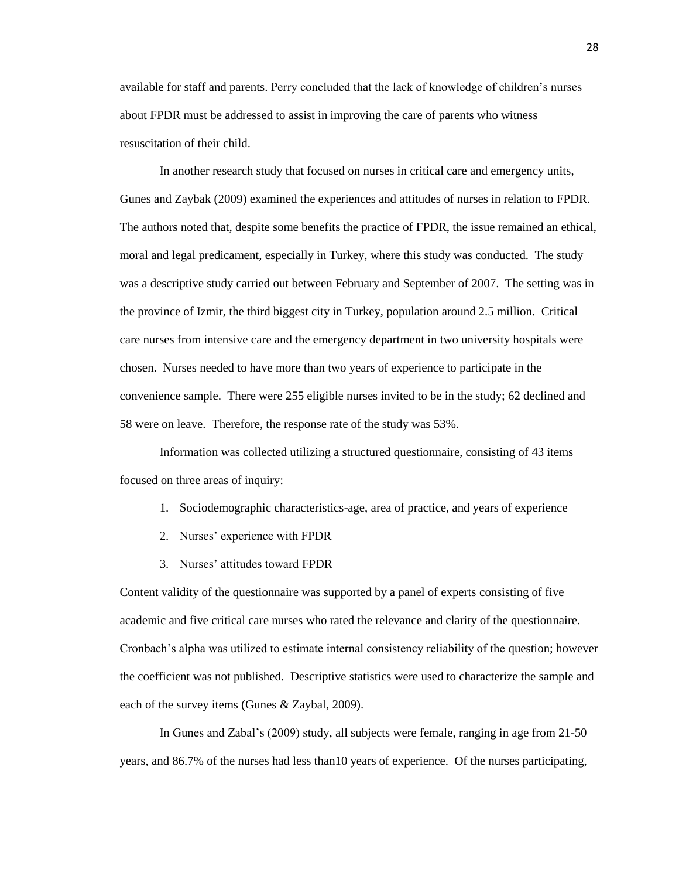available for staff and parents. Perry concluded that the lack of knowledge of children's nurses about FPDR must be addressed to assist in improving the care of parents who witness resuscitation of their child.

In another research study that focused on nurses in critical care and emergency units, Gunes and Zaybak (2009) examined the experiences and attitudes of nurses in relation to FPDR. The authors noted that, despite some benefits the practice of FPDR, the issue remained an ethical, moral and legal predicament, especially in Turkey, where this study was conducted. The study was a descriptive study carried out between February and September of 2007. The setting was in the province of Izmir, the third biggest city in Turkey, population around 2.5 million. Critical care nurses from intensive care and the emergency department in two university hospitals were chosen. Nurses needed to have more than two years of experience to participate in the convenience sample. There were 255 eligible nurses invited to be in the study; 62 declined and 58 were on leave. Therefore, the response rate of the study was 53%.

Information was collected utilizing a structured questionnaire, consisting of 43 items focused on three areas of inquiry:

- 1. Sociodemographic characteristics-age, area of practice, and years of experience
- 2. Nurses' experience with FPDR
- 3. Nurses' attitudes toward FPDR

Content validity of the questionnaire was supported by a panel of experts consisting of five academic and five critical care nurses who rated the relevance and clarity of the questionnaire. Cronbach's alpha was utilized to estimate internal consistency reliability of the question; however the coefficient was not published. Descriptive statistics were used to characterize the sample and each of the survey items (Gunes & Zaybal, 2009).

In Gunes and Zabal's (2009) study, all subjects were female, ranging in age from 21-50 years, and 86.7% of the nurses had less than10 years of experience. Of the nurses participating,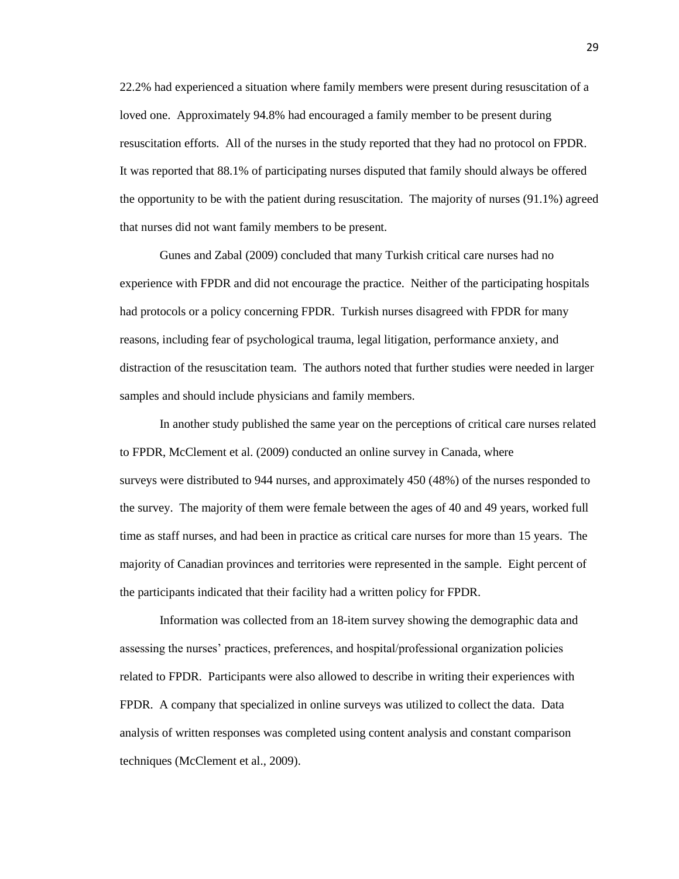22.2% had experienced a situation where family members were present during resuscitation of a loved one. Approximately 94.8% had encouraged a family member to be present during resuscitation efforts. All of the nurses in the study reported that they had no protocol on FPDR. It was reported that 88.1% of participating nurses disputed that family should always be offered the opportunity to be with the patient during resuscitation. The majority of nurses (91.1%) agreed that nurses did not want family members to be present.

Gunes and Zabal (2009) concluded that many Turkish critical care nurses had no experience with FPDR and did not encourage the practice. Neither of the participating hospitals had protocols or a policy concerning FPDR. Turkish nurses disagreed with FPDR for many reasons, including fear of psychological trauma, legal litigation, performance anxiety, and distraction of the resuscitation team. The authors noted that further studies were needed in larger samples and should include physicians and family members.

In another study published the same year on the perceptions of critical care nurses related to FPDR, McClement et al. (2009) conducted an online survey in Canada, where surveys were distributed to 944 nurses, and approximately 450 (48%) of the nurses responded to the survey. The majority of them were female between the ages of 40 and 49 years, worked full time as staff nurses, and had been in practice as critical care nurses for more than 15 years. The majority of Canadian provinces and territories were represented in the sample. Eight percent of the participants indicated that their facility had a written policy for FPDR.

Information was collected from an 18-item survey showing the demographic data and assessing the nurses' practices, preferences, and hospital/professional organization policies related to FPDR. Participants were also allowed to describe in writing their experiences with FPDR. A company that specialized in online surveys was utilized to collect the data. Data analysis of written responses was completed using content analysis and constant comparison techniques (McClement et al., 2009).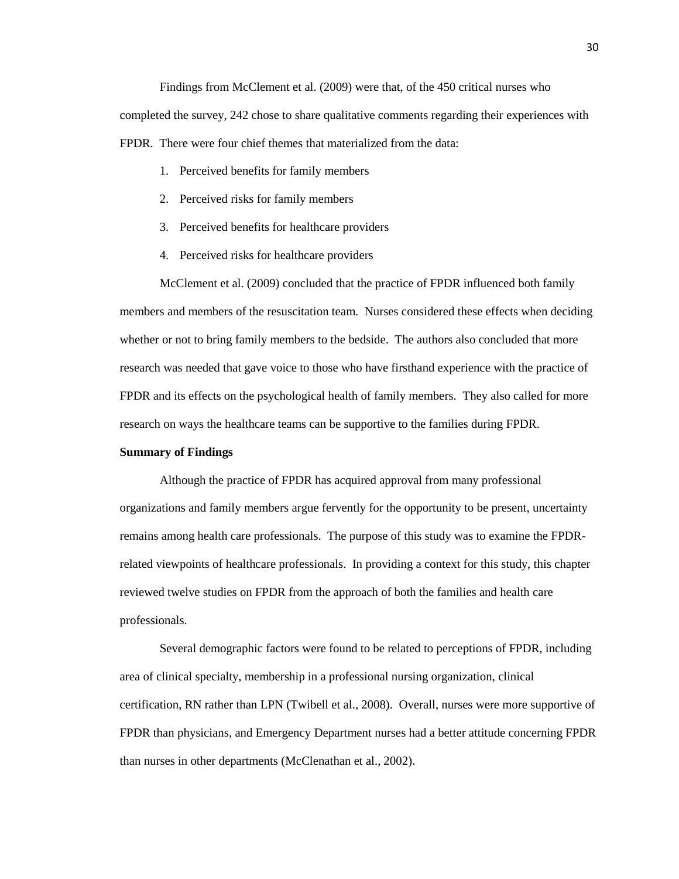Findings from McClement et al. (2009) were that, of the 450 critical nurses who completed the survey, 242 chose to share qualitative comments regarding their experiences with FPDR. There were four chief themes that materialized from the data:

- 1. Perceived benefits for family members
- 2. Perceived risks for family members
- 3. Perceived benefits for healthcare providers
- 4. Perceived risks for healthcare providers

McClement et al. (2009) concluded that the practice of FPDR influenced both family members and members of the resuscitation team. Nurses considered these effects when deciding whether or not to bring family members to the bedside. The authors also concluded that more research was needed that gave voice to those who have firsthand experience with the practice of FPDR and its effects on the psychological health of family members. They also called for more research on ways the healthcare teams can be supportive to the families during FPDR.

## **Summary of Findings**

Although the practice of FPDR has acquired approval from many professional organizations and family members argue fervently for the opportunity to be present, uncertainty remains among health care professionals. The purpose of this study was to examine the FPDRrelated viewpoints of healthcare professionals. In providing a context for this study, this chapter reviewed twelve studies on FPDR from the approach of both the families and health care professionals.

Several demographic factors were found to be related to perceptions of FPDR, including area of clinical specialty, membership in a professional nursing organization, clinical certification, RN rather than LPN (Twibell et al., 2008). Overall, nurses were more supportive of FPDR than physicians, and Emergency Department nurses had a better attitude concerning FPDR than nurses in other departments (McClenathan et al., 2002).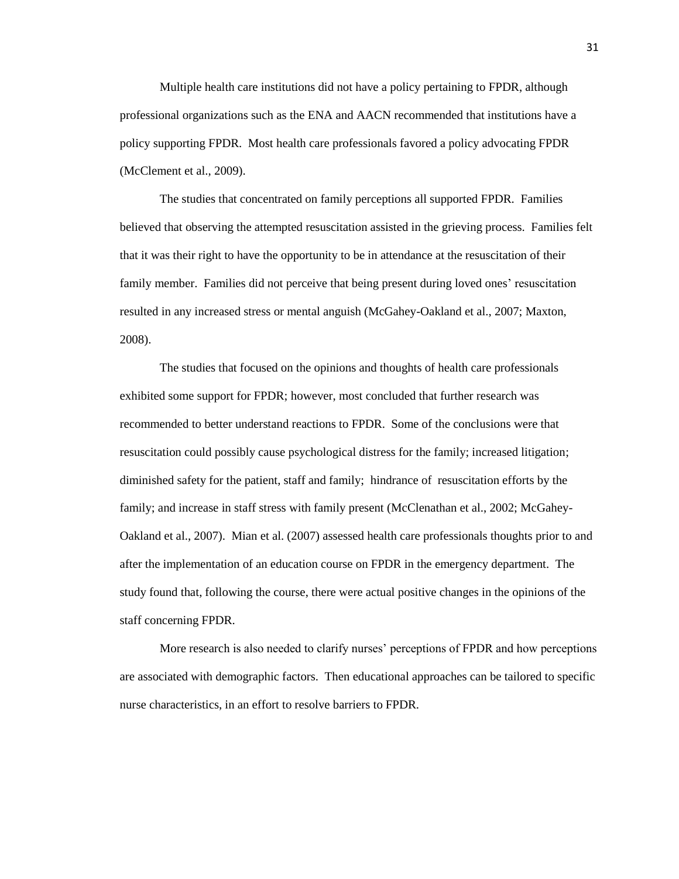Multiple health care institutions did not have a policy pertaining to FPDR, although professional organizations such as the ENA and AACN recommended that institutions have a policy supporting FPDR. Most health care professionals favored a policy advocating FPDR (McClement et al., 2009).

The studies that concentrated on family perceptions all supported FPDR. Families believed that observing the attempted resuscitation assisted in the grieving process. Families felt that it was their right to have the opportunity to be in attendance at the resuscitation of their family member. Families did not perceive that being present during loved ones' resuscitation resulted in any increased stress or mental anguish (McGahey-Oakland et al., 2007; Maxton, 2008).

The studies that focused on the opinions and thoughts of health care professionals exhibited some support for FPDR; however, most concluded that further research was recommended to better understand reactions to FPDR. Some of the conclusions were that resuscitation could possibly cause psychological distress for the family; increased litigation; diminished safety for the patient, staff and family; hindrance of resuscitation efforts by the family; and increase in staff stress with family present (McClenathan et al., 2002; McGahey-Oakland et al., 2007). Mian et al. (2007) assessed health care professionals thoughts prior to and after the implementation of an education course on FPDR in the emergency department. The study found that, following the course, there were actual positive changes in the opinions of the staff concerning FPDR.

More research is also needed to clarify nurses' perceptions of FPDR and how perceptions are associated with demographic factors. Then educational approaches can be tailored to specific nurse characteristics, in an effort to resolve barriers to FPDR.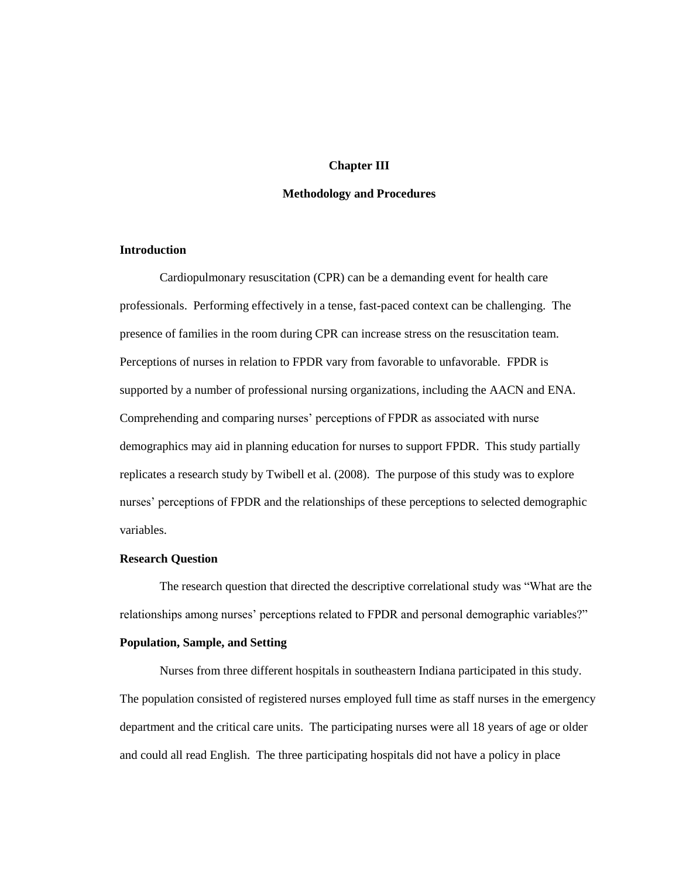## **Chapter III**

#### **Methodology and Procedures**

# **Introduction**

Cardiopulmonary resuscitation (CPR) can be a demanding event for health care professionals. Performing effectively in a tense, fast-paced context can be challenging. The presence of families in the room during CPR can increase stress on the resuscitation team. Perceptions of nurses in relation to FPDR vary from favorable to unfavorable. FPDR is supported by a number of professional nursing organizations, including the AACN and ENA. Comprehending and comparing nurses' perceptions of FPDR as associated with nurse demographics may aid in planning education for nurses to support FPDR. This study partially replicates a research study by Twibell et al. (2008). The purpose of this study was to explore nurses' perceptions of FPDR and the relationships of these perceptions to selected demographic variables.

## **Research Question**

The research question that directed the descriptive correlational study was "What are the relationships among nurses' perceptions related to FPDR and personal demographic variables?"

## **Population, Sample, and Setting**

Nurses from three different hospitals in southeastern Indiana participated in this study. The population consisted of registered nurses employed full time as staff nurses in the emergency department and the critical care units. The participating nurses were all 18 years of age or older and could all read English. The three participating hospitals did not have a policy in place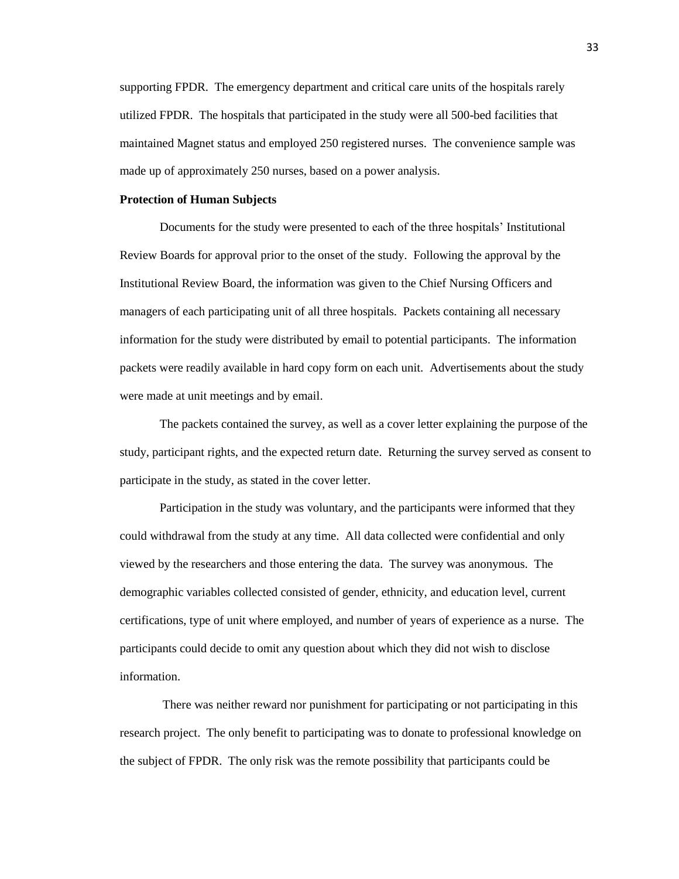supporting FPDR. The emergency department and critical care units of the hospitals rarely utilized FPDR. The hospitals that participated in the study were all 500-bed facilities that maintained Magnet status and employed 250 registered nurses. The convenience sample was made up of approximately 250 nurses, based on a power analysis.

#### **Protection of Human Subjects**

Documents for the study were presented to each of the three hospitals' Institutional Review Boards for approval prior to the onset of the study. Following the approval by the Institutional Review Board, the information was given to the Chief Nursing Officers and managers of each participating unit of all three hospitals. Packets containing all necessary information for the study were distributed by email to potential participants. The information packets were readily available in hard copy form on each unit. Advertisements about the study were made at unit meetings and by email.

The packets contained the survey, as well as a cover letter explaining the purpose of the study, participant rights, and the expected return date. Returning the survey served as consent to participate in the study, as stated in the cover letter.

Participation in the study was voluntary, and the participants were informed that they could withdrawal from the study at any time. All data collected were confidential and only viewed by the researchers and those entering the data. The survey was anonymous. The demographic variables collected consisted of gender, ethnicity, and education level, current certifications, type of unit where employed, and number of years of experience as a nurse. The participants could decide to omit any question about which they did not wish to disclose information.

There was neither reward nor punishment for participating or not participating in this research project. The only benefit to participating was to donate to professional knowledge on the subject of FPDR. The only risk was the remote possibility that participants could be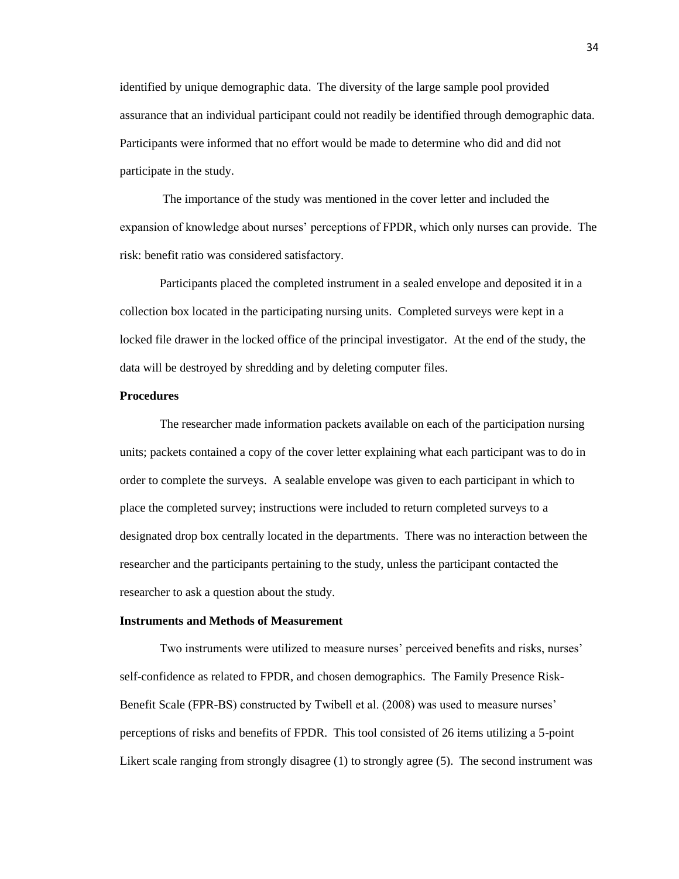identified by unique demographic data. The diversity of the large sample pool provided assurance that an individual participant could not readily be identified through demographic data. Participants were informed that no effort would be made to determine who did and did not participate in the study.

The importance of the study was mentioned in the cover letter and included the expansion of knowledge about nurses' perceptions of FPDR, which only nurses can provide. The risk: benefit ratio was considered satisfactory.

Participants placed the completed instrument in a sealed envelope and deposited it in a collection box located in the participating nursing units. Completed surveys were kept in a locked file drawer in the locked office of the principal investigator. At the end of the study, the data will be destroyed by shredding and by deleting computer files.

## **Procedures**

The researcher made information packets available on each of the participation nursing units; packets contained a copy of the cover letter explaining what each participant was to do in order to complete the surveys. A sealable envelope was given to each participant in which to place the completed survey; instructions were included to return completed surveys to a designated drop box centrally located in the departments. There was no interaction between the researcher and the participants pertaining to the study, unless the participant contacted the researcher to ask a question about the study.

## **Instruments and Methods of Measurement**

Two instruments were utilized to measure nurses' perceived benefits and risks, nurses' self-confidence as related to FPDR, and chosen demographics. The Family Presence Risk-Benefit Scale (FPR-BS) constructed by Twibell et al. (2008) was used to measure nurses' perceptions of risks and benefits of FPDR. This tool consisted of 26 items utilizing a 5-point Likert scale ranging from strongly disagree (1) to strongly agree (5). The second instrument was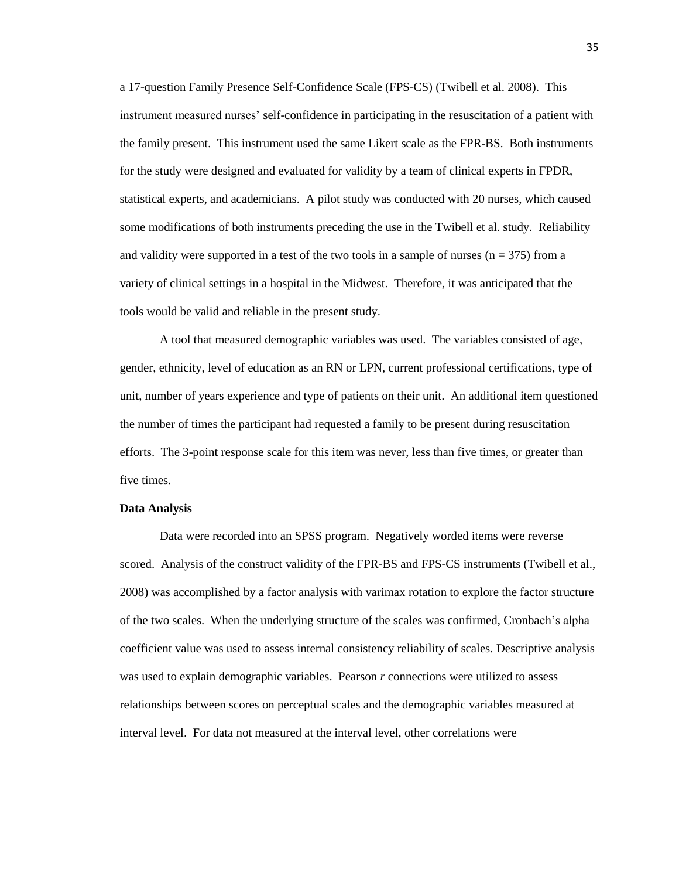a 17-question Family Presence Self-Confidence Scale (FPS-CS) (Twibell et al. 2008). This instrument measured nurses' self-confidence in participating in the resuscitation of a patient with the family present. This instrument used the same Likert scale as the FPR-BS. Both instruments for the study were designed and evaluated for validity by a team of clinical experts in FPDR, statistical experts, and academicians. A pilot study was conducted with 20 nurses, which caused some modifications of both instruments preceding the use in the Twibell et al. study. Reliability and validity were supported in a test of the two tools in a sample of nurses ( $n = 375$ ) from a variety of clinical settings in a hospital in the Midwest. Therefore, it was anticipated that the tools would be valid and reliable in the present study.

A tool that measured demographic variables was used. The variables consisted of age, gender, ethnicity, level of education as an RN or LPN, current professional certifications, type of unit, number of years experience and type of patients on their unit. An additional item questioned the number of times the participant had requested a family to be present during resuscitation efforts. The 3-point response scale for this item was never, less than five times, or greater than five times.

#### **Data Analysis**

Data were recorded into an SPSS program. Negatively worded items were reverse scored. Analysis of the construct validity of the FPR-BS and FPS-CS instruments (Twibell et al., 2008) was accomplished by a factor analysis with varimax rotation to explore the factor structure of the two scales. When the underlying structure of the scales was confirmed, Cronbach's alpha coefficient value was used to assess internal consistency reliability of scales. Descriptive analysis was used to explain demographic variables. Pearson *r* connections were utilized to assess relationships between scores on perceptual scales and the demographic variables measured at interval level. For data not measured at the interval level, other correlations were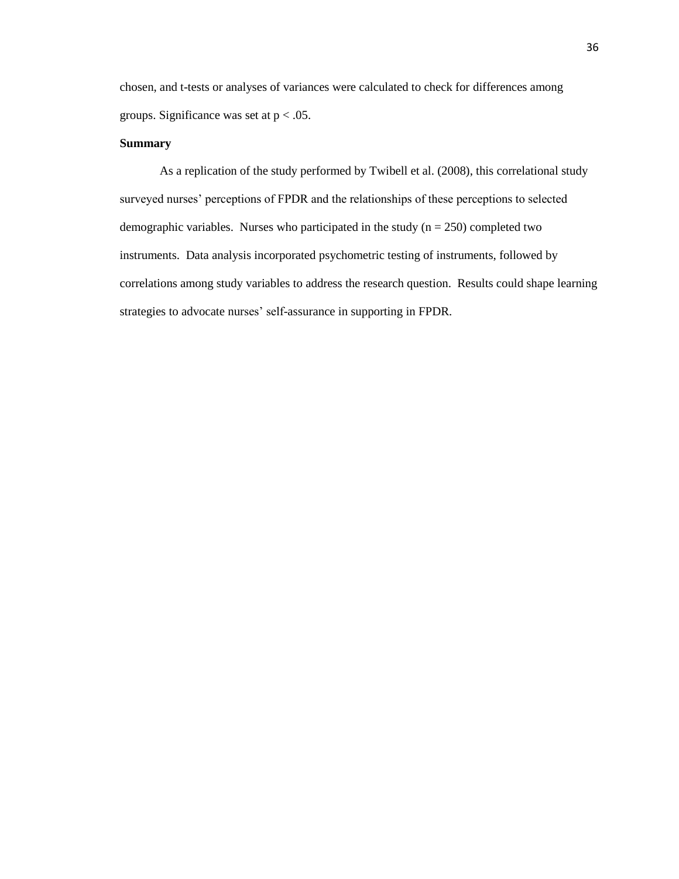chosen, and t-tests or analyses of variances were calculated to check for differences among groups. Significance was set at  $p < .05$ .

## **Summary**

As a replication of the study performed by Twibell et al. (2008), this correlational study surveyed nurses' perceptions of FPDR and the relationships of these perceptions to selected demographic variables. Nurses who participated in the study  $(n = 250)$  completed two instruments. Data analysis incorporated psychometric testing of instruments, followed by correlations among study variables to address the research question. Results could shape learning strategies to advocate nurses' self-assurance in supporting in FPDR.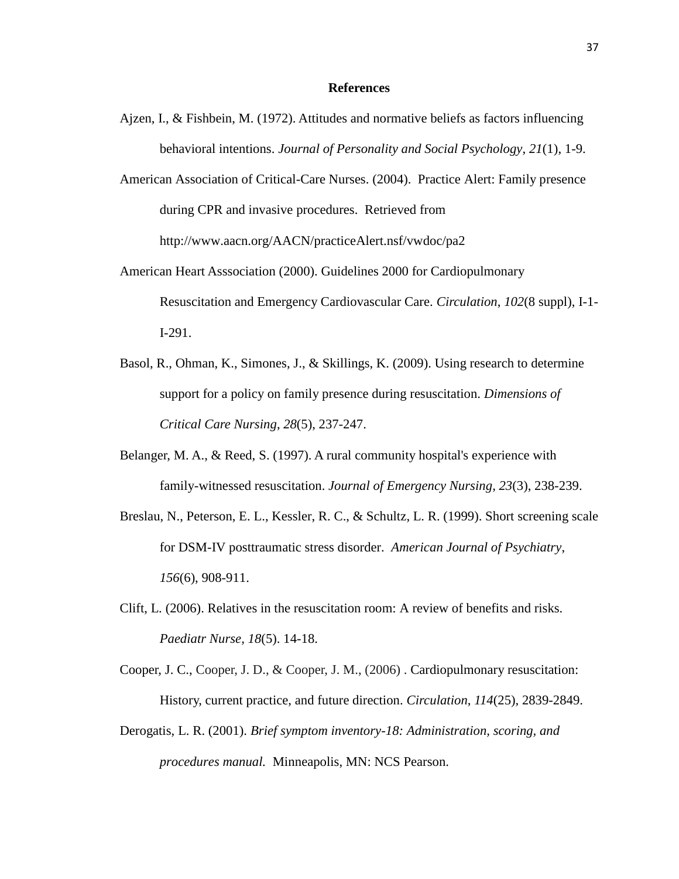## **References**

- Ajzen, I., & Fishbein, M. (1972). Attitudes and normative beliefs as factors influencing behavioral intentions. *Journal of Personality and Social Psychology*, *21*(1), 1-9.
- American Association of Critical-Care Nurses. (2004). Practice Alert: Family presence during CPR and invasive procedures. Retrieved from [http://www.aacn.org/AACN/practiceAlert.nsf/vwdoc/pa2](http://www.aacn.org/AACN/practiceAlert.nsf/vwdoc/pa2%20October%2023)
- American Heart Asssociation (2000). Guidelines 2000 for Cardiopulmonary Resuscitation and Emergency Cardiovascular Care. *Circulation*, *102*(8 suppl), I-1- I-291.
- Basol, R., Ohman, K., Simones, J., & Skillings, K. (2009). Using research to determine support for a policy on family presence during resuscitation. *Dimensions of Critical Care Nursing*, *28*(5), 237-247.
- Belanger, M. A., & Reed, S. (1997). A rural community hospital's experience with family-witnessed resuscitation. *Journal of Emergency Nursing*, *23*(3), 238-239.
- Breslau, N., Peterson, E. L., Kessler, R. C., & Schultz, L. R. (1999). Short screening scale for DSM-IV posttraumatic stress disorder. *American Journal of Psychiatry*, *156*(6), 908-911.
- Clift, L. (2006). Relatives in the resuscitation room: A review of benefits and risks. *Paediatr Nurse, 18*(5). 14-18.
- Cooper, J. C., Cooper, J. D., & Cooper, J. M., (2006) . Cardiopulmonary resuscitation: History, current practice, and future direction. *Circulation*, *114*(25), 2839-2849.
- Derogatis, L. R. (2001). *Brief symptom inventory-18: Administration, scoring, and procedures manual.* Minneapolis, MN: NCS Pearson.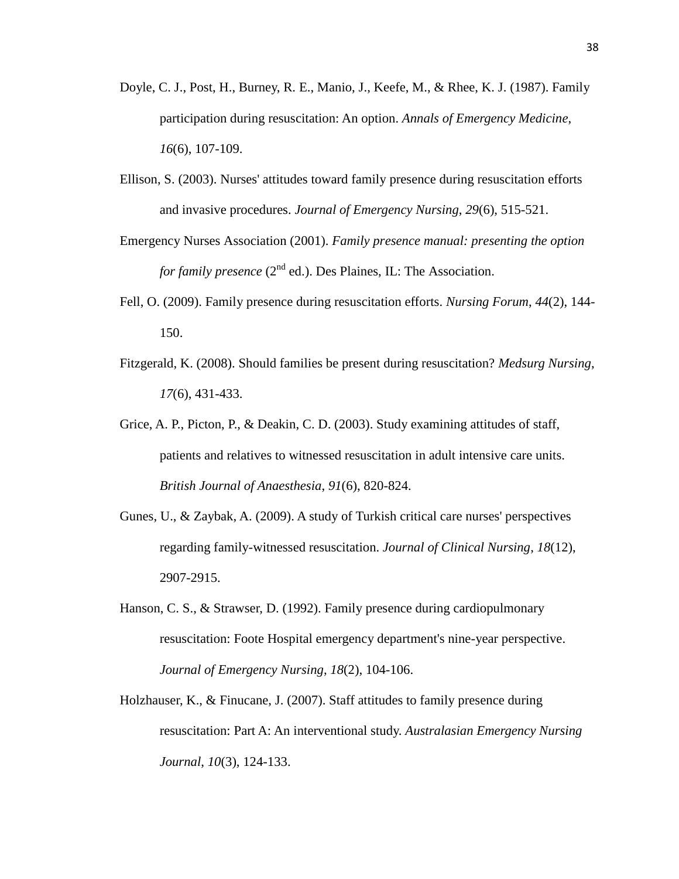- Doyle, C. J., Post, H., Burney, R. E., Manio, J., Keefe, M., & Rhee, K. J. (1987). Family participation during resuscitation: An option. *Annals of Emergency Medicine*, *16*(6), 107-109.
- Ellison, S. (2003). Nurses' attitudes toward family presence during resuscitation efforts and invasive procedures. *Journal of Emergency Nursing*, *29*(6), 515-521.
- Emergency Nurses Association (2001). *Family presence manual: presenting the option for family presence* (2<sup>nd</sup> ed.). Des Plaines, IL: The Association.
- Fell, O. (2009). Family presence during resuscitation efforts. *Nursing Forum*, *44*(2), 144- 150.
- Fitzgerald, K. (2008). Should families be present during resuscitation? *Medsurg Nursing*, *17*(6), 431-433.
- Grice, A. P., Picton, P., & Deakin, C. D. (2003). Study examining attitudes of staff, patients and relatives to witnessed resuscitation in adult intensive care units. *British Journal of Anaesthesia*, *91*(6), 820-824.
- Gunes, U., & Zaybak, A. (2009). A study of Turkish critical care nurses' perspectives regarding family-witnessed resuscitation. *Journal of Clinical Nursing*, *18*(12), 2907-2915.
- Hanson, C. S., & Strawser, D. (1992). Family presence during cardiopulmonary resuscitation: Foote Hospital emergency department's nine-year perspective. *Journal of Emergency Nursing*, *18*(2), 104-106.
- Holzhauser, K., & Finucane, J. (2007). Staff attitudes to family presence during resuscitation: Part A: An interventional study. *Australasian Emergency Nursing Journal*, *10*(3), 124-133.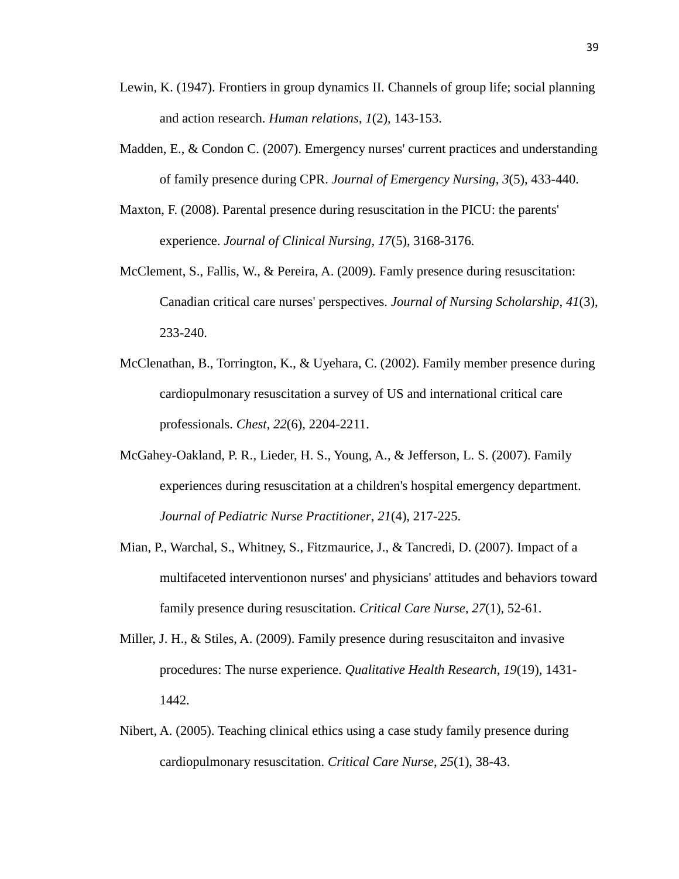- Lewin, K. (1947). Frontiers in group dynamics II. Channels of group life; social planning and action research. *Human relations*, *1*(2), 143-153.
- Madden, E., & Condon C. (2007). Emergency nurses' current practices and understanding of family presence during CPR. *Journal of Emergency Nursing*, *3*(5), 433-440.
- Maxton, F. (2008). Parental presence during resuscitation in the PICU: the parents' experience. *Journal of Clinical Nursing*, *17*(5), 3168-3176.
- McClement, S., Fallis, W., & Pereira, A. (2009). Famly presence during resuscitation: Canadian critical care nurses' perspectives. *Journal of Nursing Scholarship*, *41*(3), 233-240.
- McClenathan, B., Torrington, K., & Uyehara, C. (2002). Family member presence during cardiopulmonary resuscitation a survey of US and international critical care professionals. *Chest*, *22*(6), 2204-2211.
- McGahey-Oakland, P. R., Lieder, H. S., Young, A., & Jefferson, L. S. (2007). Family experiences during resuscitation at a children's hospital emergency department. *Journal of Pediatric Nurse Practitioner*, *21*(4), 217-225.
- Mian, P., Warchal, S., Whitney, S., Fitzmaurice, J., & Tancredi, D. (2007). Impact of a multifaceted interventionon nurses' and physicians' attitudes and behaviors toward family presence during resuscitation. *Critical Care Nurse*, *27*(1), 52-61.
- Miller, J. H., & Stiles, A. (2009). Family presence during resuscitaiton and invasive procedures: The nurse experience. *Qualitative Health Research*, *19*(19), 1431- 1442.
- Nibert, A. (2005). Teaching clinical ethics using a case study family presence during cardiopulmonary resuscitation. *Critical Care Nurse*, *25*(1), 38-43.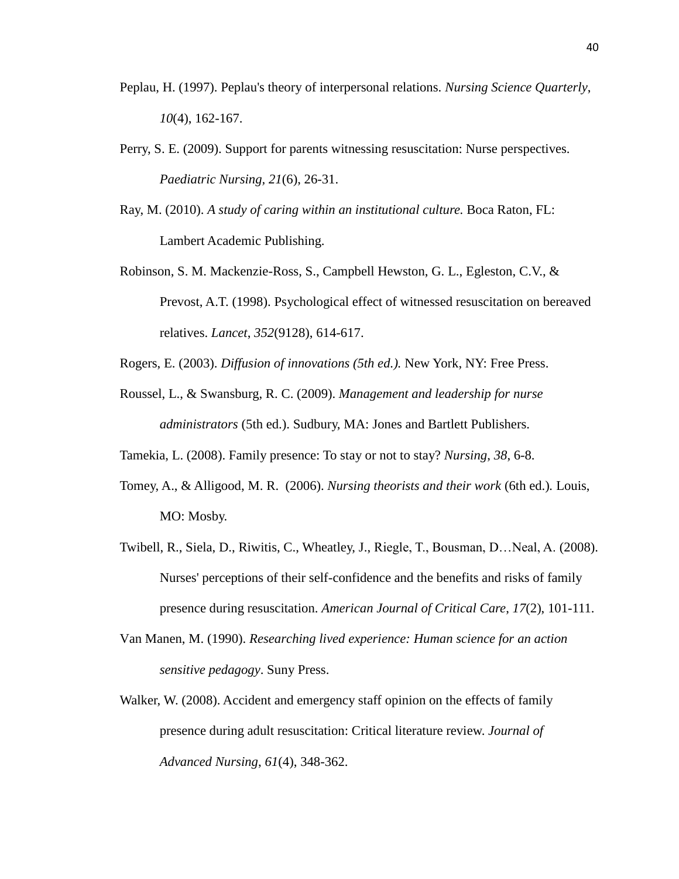- Peplau, H. (1997). Peplau's theory of interpersonal relations. *Nursing Science Quarterly*, *10*(4), 162-167.
- Perry, S. E. (2009). Support for parents witnessing resuscitation: Nurse perspectives. *Paediatric Nursing, 21*(6), 26-31.
- Ray, M. (2010). *A study of caring within an institutional culture.* Boca Raton, FL: Lambert Academic Publishing.
- Robinson, S. M. Mackenzie-Ross, S., Campbell Hewston, G. L., Egleston, C.V., & Prevost, A.T. (1998). Psychological effect of witnessed resuscitation on bereaved relatives. *Lancet*, *352*(9128), 614-617.
- Rogers, E. (2003). *Diffusion of innovations (5th ed.).* New York, NY: Free Press.
- Roussel, L., & Swansburg, R. C. (2009). *Management and leadership for nurse administrators* (5th ed.). Sudbury, MA: Jones and Bartlett Publishers.
- Tamekia, L. (2008). Family presence: To stay or not to stay? *Nursing*, *38*, 6-8.
- Tomey, A., & Alligood, M. R. (2006). *Nursing theorists and their work* (6th ed.)*.* Louis, MO: Mosby.
- Twibell, R., Siela, D., Riwitis, C., Wheatley, J., Riegle, T., Bousman, D…Neal, A. (2008). Nurses' perceptions of their self-confidence and the benefits and risks of family presence during resuscitation. *American Journal of Critical Care*, *17*(2), 101-111.
- Van Manen, M. (1990). *Researching lived experience: Human science for an action sensitive pedagogy*. Suny Press.
- Walker, W. (2008). Accident and emergency staff opinion on the effects of family presence during adult resuscitation: Critical literature review. *Journal of Advanced Nursing*, *61*(4), 348-362.